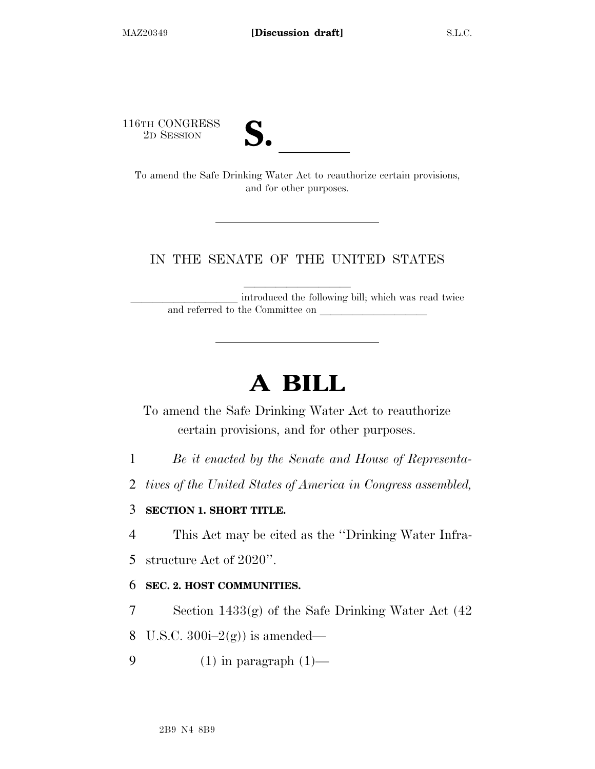116TH CONGRESS

| , ∕ |  |
|-----|--|
|     |  |

TO SESSION **S. S. S. S. S. S. S. S. S. S. All CONGRESS** To amend the Safe Drinking Water Act to reauthorize certain provisions, and for other purposes.

## IN THE SENATE OF THE UNITED STATES

introduced the following bill; which was read twice and referred to the Committee on

# **A BILL**

To amend the Safe Drinking Water Act to reauthorize certain provisions, and for other purposes.

- 1 *Be it enacted by the Senate and House of Representa-*
- 2 *tives of the United States of America in Congress assembled,*

## 3 **SECTION 1. SHORT TITLE.**

4 This Act may be cited as the ''Drinking Water Infra-

5 structure Act of 2020''.

### 6 **SEC. 2. HOST COMMUNITIES.**

7 Section 1433(g) of the Safe Drinking Water Act (42

8 U.S.C.  $300i-2(g)$  is amended—

9  $(1)$  in paragraph  $(1)$ —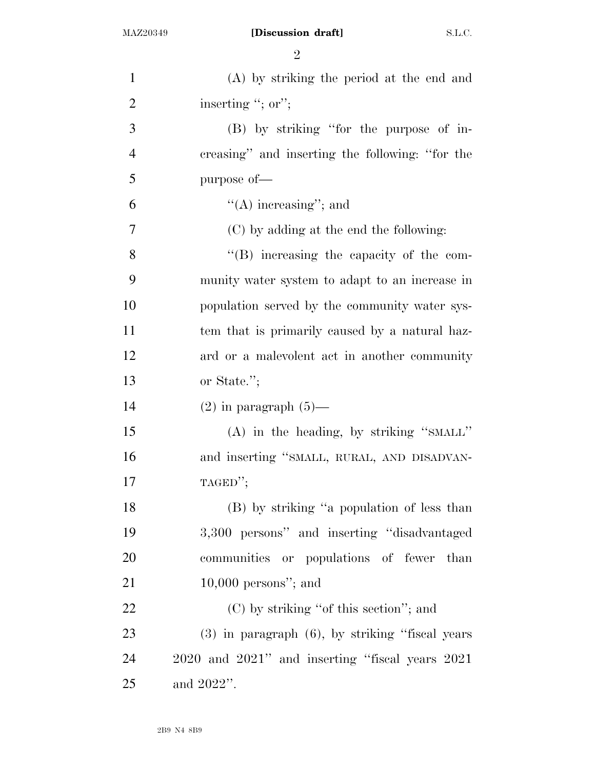| $\mathbf{1}$   | (A) by striking the period at the end and             |
|----------------|-------------------------------------------------------|
| $\overline{2}$ | inserting "; or";                                     |
| 3              | (B) by striking "for the purpose of in-               |
| $\overline{4}$ | creasing" and inserting the following: "for the       |
| 5              | purpose of-                                           |
| 6              | $\lq\lq$ increasing"; and                             |
| 7              | (C) by adding at the end the following:               |
| 8              | $\lq\lq$ . So increasing the capacity of the com-     |
| 9              | munity water system to adapt to an increase in        |
| 10             | population served by the community water sys-         |
| 11             | tem that is primarily caused by a natural haz-        |
| 12             | ard or a malevolent act in another community          |
| 13             | or State.";                                           |
| 14             | $(2)$ in paragraph $(5)$ —                            |
| 15             | (A) in the heading, by striking "SMALL"               |
| 16             | and inserting "SMALL, RURAL, AND DISADVAN-            |
| 17             | TAGED";                                               |
| 18             | (B) by striking "a population of less than            |
| 19             | 3,300 persons" and inserting "disadvantaged           |
| 20             | communities or populations of fewer than              |
| 21             | $10,000$ persons"; and                                |
| 22             | $(C)$ by striking "of this section"; and              |
| 23             | $(3)$ in paragraph $(6)$ , by striking "fiscal years" |
| 24             | 2020 and 2021" and inserting "fiscal years 2021       |
| 25             | and 2022".                                            |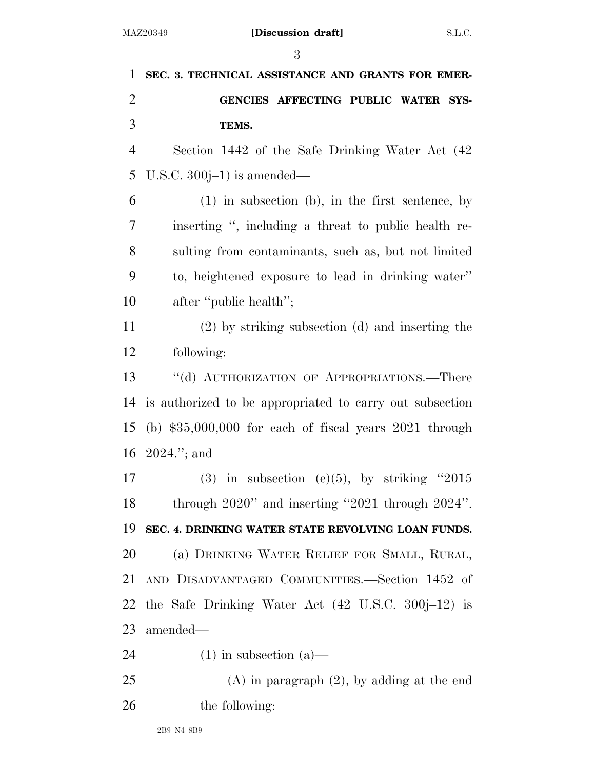| SEC. 3. TECHNICAL ASSISTANCE AND GRANTS FOR EMER-         |
|-----------------------------------------------------------|
| GENCIES AFFECTING PUBLIC WATER SYS-                       |
| TEMS.                                                     |
| Section 1442 of the Safe Drinking Water Act (42)          |
| U.S.C. $300j-1$ is amended—                               |
| $(1)$ in subsection (b), in the first sentence, by        |
| inserting ", including a threat to public health re-      |
| sulting from contaminants, such as, but not limited       |
| to, heightened exposure to lead in drinking water"        |
| after "public health";                                    |
| $(2)$ by striking subsection $(d)$ and inserting the      |
| following:                                                |
| "(d) AUTHORIZATION OF APPROPRIATIONS.—There               |
| is authorized to be appropriated to carry out subsection  |
| (b) $$35,000,000$ for each of fiscal years $2021$ through |
| 16 $2024$ ."; and                                         |
| (3) in subsection (e)(5), by striking "2015               |
| through $2020$ " and inserting "2021 through $2024$ ".    |
| SEC. 4. DRINKING WATER STATE REVOLVING LOAN FUNDS.        |
| (a) DRINKING WATER RELIEF FOR SMALL, RURAL,               |
| AND DISADVANTAGED COMMUNITIES.-Section 1452 of            |
| 22 the Safe Drinking Water Act (42 U.S.C. 300j–12) is     |
| amended—                                                  |
| $(1)$ in subsection $(a)$ —                               |
| $(A)$ in paragraph $(2)$ , by adding at the end           |
|                                                           |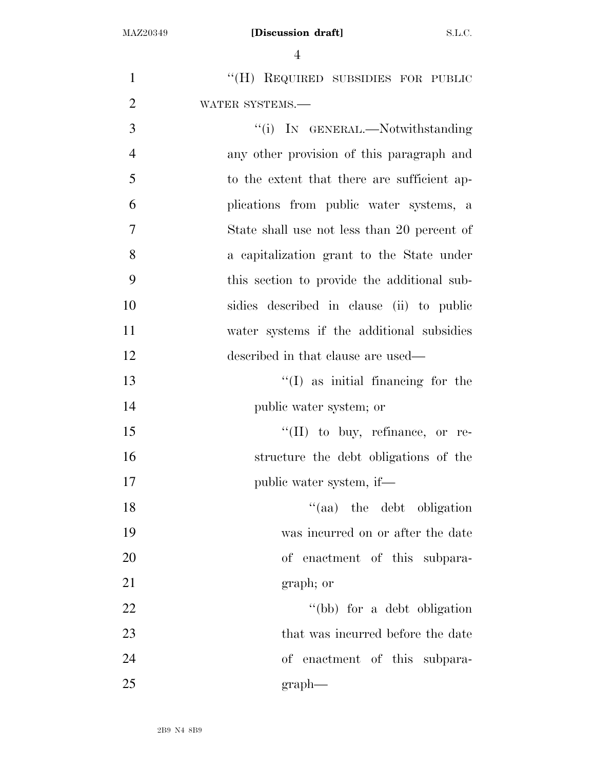| $\mathbf{1}$   | "(H) REQUIRED SUBSIDIES FOR PUBLIC          |
|----------------|---------------------------------------------|
| $\overline{2}$ | WATER SYSTEMS.-                             |
| 3              | "(i) IN GENERAL.—Notwithstanding            |
| $\overline{4}$ | any other provision of this paragraph and   |
| 5              | to the extent that there are sufficient ap- |
| 6              | plications from public water systems, a     |
| $\tau$         | State shall use not less than 20 percent of |
| 8              | a capitalization grant to the State under   |
| 9              | this section to provide the additional sub- |
| 10             | sidies described in clause (ii) to public   |
| 11             | water systems if the additional subsidies   |
| 12             | described in that clause are used—          |
| 13             | $\lq\lq$ (I) as initial financing for the   |
| 14             | public water system; or                     |
| 15             | $\lq\lq$ (II) to buy, refinance, or re-     |
| 16             | structure the debt obligations of the       |
| 17             | public water system, if—                    |
| 18             | "(aa) the debt obligation                   |
| 19             | was incurred on or after the date           |
| 20             | of enactment of this subpara-               |
| 21             | graph; or                                   |
| 22             | "(bb) for a debt obligation                 |
| 23             | that was incurred before the date           |
| 24             | of enactment of this subpara-               |
| 25             | graph                                       |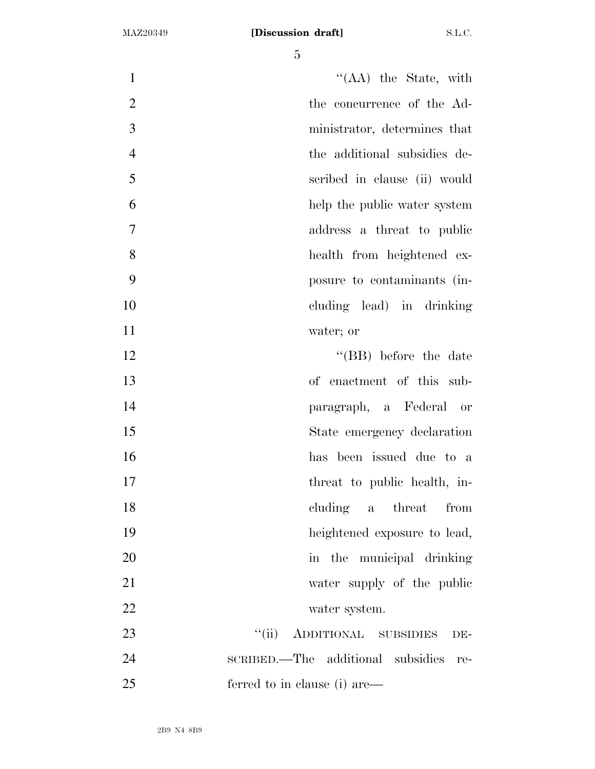| $\mathbf{1}$   | $\lq\lq$ (AA) the State, with            |
|----------------|------------------------------------------|
| $\mathfrak{2}$ | the concurrence of the Ad-               |
| 3              | ministrator, determines that             |
| $\overline{4}$ | the additional subsidies de-             |
| 5              | scribed in clause (ii) would             |
| 6              | help the public water system             |
| $\overline{7}$ | address a threat to public               |
| 8              | health from heightened ex-               |
| 9              | posure to contaminants (in-              |
| 10             | cluding lead) in drinking                |
| 11             | water; or                                |
| 12             | $\lq\lq$ (BB) before the date            |
| 13             | of enactment of this sub-                |
| 14             | paragraph, a Federal or                  |
| 15             | State emergency declaration              |
| 16             | has been issued due to a                 |
| 17             | threat to public health, in-             |
| 18             | cluding a threat<br>from                 |
| 19             | heightened exposure to lead,             |
| 20             | in the municipal drinking                |
| 21             | water supply of the public               |
| 22             | water system.                            |
| 23             | ``(ii)<br>ADDITIONAL SUBSIDIES<br>DE-    |
| 24             | SCRIBED.—The additional subsidies<br>re- |
| 25             | ferred to in clause (i) are—             |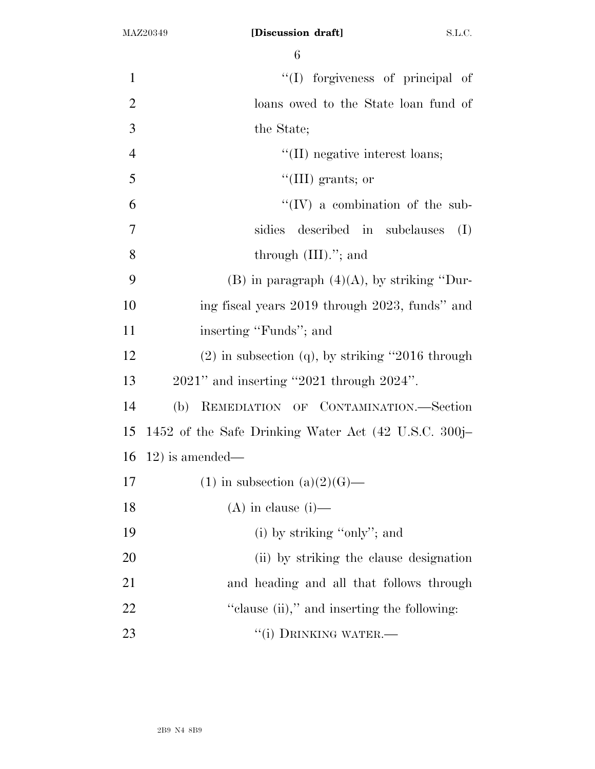| $\mathbf{1}$   | "(I) forgiveness of principal of                      |
|----------------|-------------------------------------------------------|
| $\overline{2}$ | loans owed to the State loan fund of                  |
| 3              | the State;                                            |
| $\overline{4}$ | "(II) negative interest loans;                        |
| 5              | $\lq\lq$ (III) grants; or                             |
| 6              | $\lq\lq (IV)$ a combination of the sub-               |
| $\overline{7}$ | sidies described in subclauses<br>(I)                 |
| 8              | through $(III)$ ."; and                               |
| 9              | (B) in paragraph $(4)(A)$ , by striking "Dur-         |
| 10             | ing fiscal years 2019 through 2023, funds" and        |
| 11             | inserting "Funds"; and                                |
| 12             | $(2)$ in subsection $(q)$ , by striking "2016 through |
| 13             | $2021$ " and inserting "2021 through $2024$ ".        |
| 14             | (b) REMEDIATION OF CONTAMINATION.-Section             |
| 15             | 1452 of the Safe Drinking Water Act (42 U.S.C. 300j–  |
| 16             | $12)$ is amended—                                     |
| 17             | $(1)$ in subsection $(a)(2)(G)$ —                     |
| 18             | $(A)$ in clause $(i)$ —                               |
| 19             | (i) by striking "only"; and                           |
| 20             | (ii) by striking the clause designation               |
| 21             | and heading and all that follows through              |
| 22             | "clause (ii)," and inserting the following:           |
| 23             | "(i) DRINKING WATER.-                                 |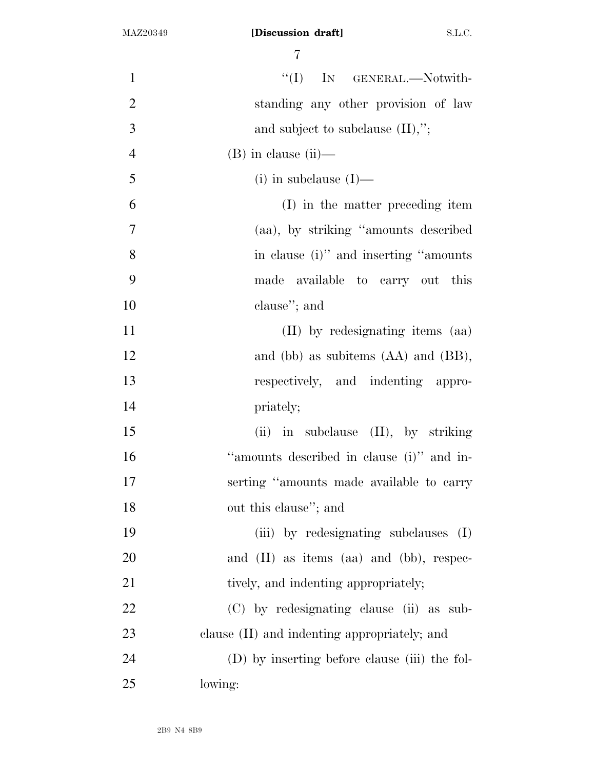| $\mathbf{1}$   | "(I) IN GENERAL.-Notwith-                       |
|----------------|-------------------------------------------------|
| $\mathbf{2}$   | standing any other provision of law             |
| 3              | and subject to subclause $(II),$ ";             |
| $\overline{4}$ | $(B)$ in clause $(ii)$ —                        |
| 5              | $(i)$ in subclause $(I)$ —                      |
| 6              | (I) in the matter preceding item                |
| 7              | (aa), by striking "amounts described            |
| 8              | in clause (i)" and inserting "amounts"          |
| 9              | made available to carry out this                |
| 10             | clause"; and                                    |
| 11             | (II) by redesignating items (aa)                |
| 12             | and (bb) as subitems (AA) and (BB),             |
| 13             | respectively, and indenting appro-              |
| 14             | priately;                                       |
| 15             | $(ii)$ in subclause $(II)$ , by striking        |
| 16             | "amounts described in clause (i)" and in-       |
| 17             | serting "amounts made available to carry        |
| 18             | out this clause"; and                           |
| 19             | (iii) by redesignating subclauses (I)           |
| 20             | and $(II)$ as items $(aa)$ and $(bb)$ , respec- |
| 21             | tively, and indenting appropriately;            |
| 22             | (C) by redesignating clause (ii) as sub-        |
| 23             | clause (II) and indenting appropriately; and    |
| 24             | (D) by inserting before clause (iii) the fol-   |
| 25             | lowing:                                         |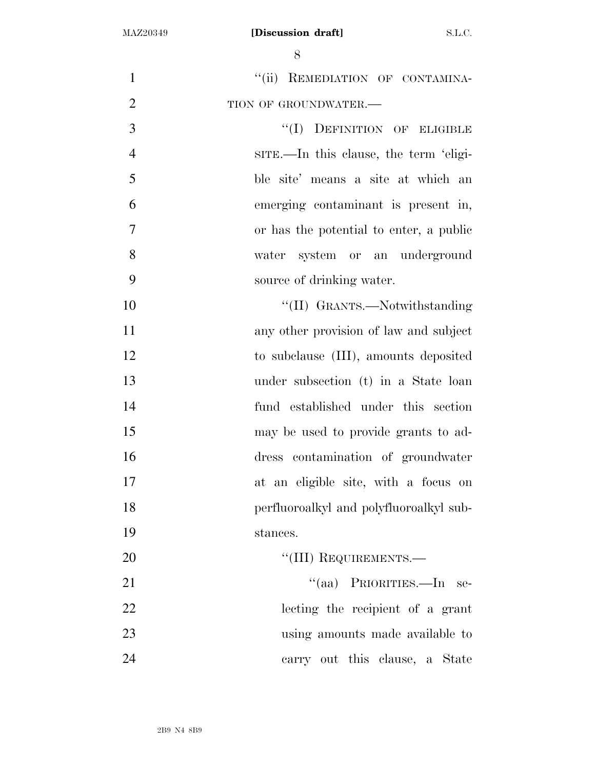| $\mathbf{1}$   | "(ii) REMEDIATION OF CONTAMINA-         |
|----------------|-----------------------------------------|
| $\overline{2}$ | TION OF GROUNDWATER.-                   |
| 3              | "(I) DEFINITION OF ELIGIBLE             |
| $\overline{4}$ | sing-In this clause, the term 'eligi-   |
| 5              | ble site' means a site at which an      |
| 6              | emerging contaminant is present in,     |
| $\overline{7}$ | or has the potential to enter, a public |
| 8              | water system or an underground          |
| 9              | source of drinking water.               |
| 10             | "(II) GRANTS.—Notwithstanding           |
| 11             | any other provision of law and subject  |
| 12             | to subclause (III), amounts deposited   |
| 13             | under subsection (t) in a State loan    |
| 14             | fund established under this section     |
| 15             | may be used to provide grants to ad-    |
| 16             | dress contamination of groundwater      |
| 17             | at an eligible site, with a focus on    |
| 18             | perfluoroalkyl and polyfluoroalkyl sub- |
| 19             | stances.                                |
| 20             | "(III) REQUIREMENTS.-                   |
| 21             | "(aa) PRIORITIES.—In se-                |
| 22             | lecting the recipient of a grant        |
| 23             | using amounts made available to         |
| 24             | carry out this clause, a State          |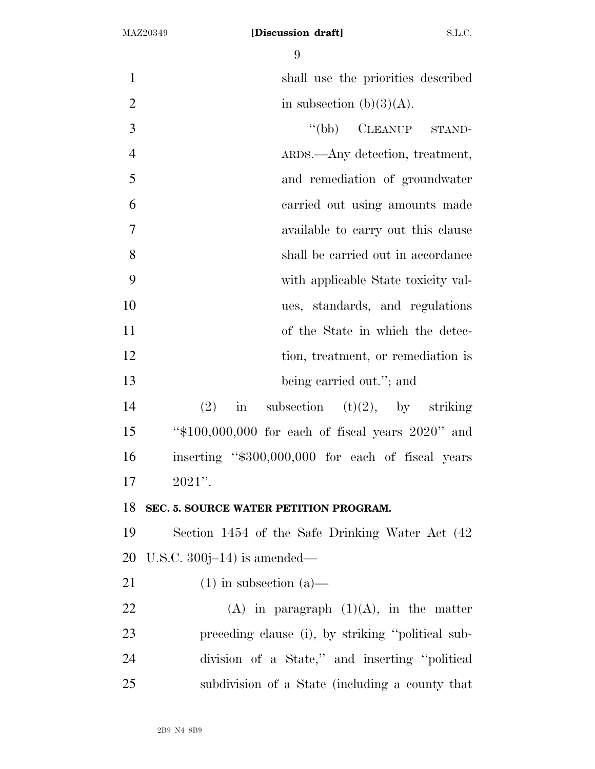| $\mathbf{1}$   | shall use the priorities described                    |
|----------------|-------------------------------------------------------|
| $\overline{2}$ | in subsection $(b)(3)(A)$ .                           |
| 3              | $\lq (bb)$<br>CLEANUP STAND-                          |
| $\overline{4}$ | ARDS.—Any detection, treatment,                       |
| 5              | and remediation of groundwater                        |
| 6              | carried out using amounts made                        |
| $\tau$         | available to carry out this clause                    |
| 8              | shall be carried out in accordance                    |
| 9              | with applicable State toxicity val-                   |
| 10             | ues, standards, and regulations                       |
| 11             | of the State in which the detec-                      |
| 12             | tion, treatment, or remediation is                    |
| 13             | being carried out."; and                              |
| 14             | (2)<br>subsection (t)(2), by striking<br>$\sin$       |
| 15             | " $$100,000,000$ for each of fiscal years $2020"$ and |
| 16             | inserting "\$300,000,000 for each of fiscal years     |
| 17             | $2021"$ .                                             |
| 18             | SEC. 5. SOURCE WATER PETITION PROGRAM.                |
| 19             | Section 1454 of the Safe Drinking Water Act (42)      |
| 20             | U.S.C. $300j-14$ ) is amended—                        |
| 21             | $(1)$ in subsection $(a)$ —                           |
| 22             | $(A)$ in paragraph $(1)(A)$ , in the matter           |
| 23             | preceding clause (i), by striking "political sub-     |
| 24             | division of a State," and inserting "political"       |
| 25             | subdivision of a State (including a county that       |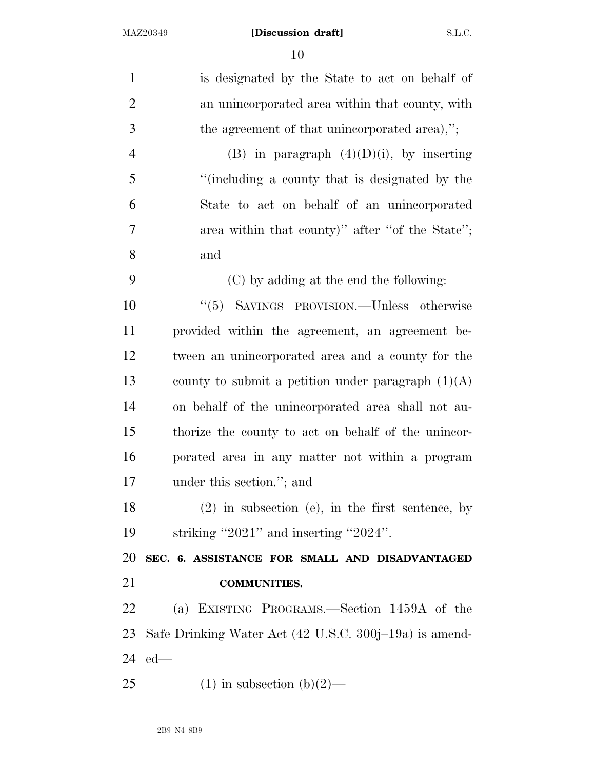| $\mathbf{1}$   | is designated by the State to act on behalf of         |
|----------------|--------------------------------------------------------|
| $\overline{2}$ | an unincorporated area within that county, with        |
| 3              | the agreement of that unincorporated area),";          |
| $\overline{4}$ | (B) in paragraph $(4)(D)(i)$ , by inserting            |
| 5              | "(including a county that is designated by the         |
| 6              | State to act on behalf of an unincorporated            |
| $\tau$         | area within that county)" after "of the State";        |
| 8              | and                                                    |
| 9              | (C) by adding at the end the following:                |
| 10             | "(5) SAVINGS PROVISION.—Unless otherwise               |
| 11             | provided within the agreement, an agreement be-        |
| 12             | tween an unincorporated area and a county for the      |
| 13             | county to submit a petition under paragraph $(1)(A)$   |
| 14             | on behalf of the unincorporated area shall not au-     |
| 15             | thorize the county to act on behalf of the unincor-    |
| 16             | porated area in any matter not within a program        |
| 17             | under this section."; and                              |
| 18             | $(2)$ in subsection (e), in the first sentence, by     |
| 19             | striking "2021" and inserting "2024".                  |
| 20             | SEC. 6. ASSISTANCE FOR SMALL AND DISADVANTAGED         |
| 21             | <b>COMMUNITIES.</b>                                    |
| 22             | (a) EXISTING PROGRAMS.—Section 1459A of the            |
| 23             | Safe Drinking Water Act (42 U.S.C. 300j–19a) is amend- |
| 24             | $ed$ —                                                 |
| 25             | $(1)$ in subsection $(b)(2)$ —                         |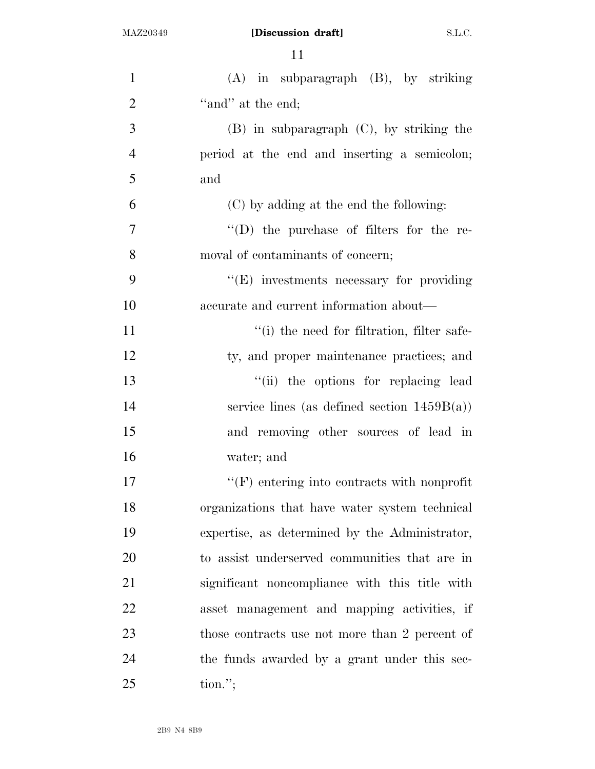| $\mathbf{1}$   | $(A)$ in subparagraph $(B)$ , by striking          |
|----------------|----------------------------------------------------|
| $\overline{2}$ | "and" at the end;                                  |
| 3              | $(B)$ in subparagraph $(C)$ , by striking the      |
| $\overline{4}$ | period at the end and inserting a semicolon;       |
| 5              | and                                                |
| 6              | (C) by adding at the end the following:            |
| $\overline{7}$ | $\lq\lq$ the purchase of filters for the re-       |
| 8              | moval of contaminants of concern;                  |
| 9              | "(E) investments necessary for providing           |
| 10             | accurate and current information about—            |
| 11             | "(i) the need for filtration, filter safe-         |
| 12             | ty, and proper maintenance practices; and          |
| 13             | "(ii) the options for replacing lead               |
| 14             | service lines (as defined section $1459B(a)$ )     |
| 15             | and removing other sources of lead in              |
| 16             | water; and                                         |
| 17             | $\lq\lq(F)$ entering into contracts with nonprofit |
| 18             | organizations that have water system technical     |
| 19             | expertise, as determined by the Administrator,     |
| 20             | to assist underserved communities that are in      |
| 21             | significant noncompliance with this title with     |
| 22             | asset management and mapping activities, if        |
| 23             | those contracts use not more than 2 percent of     |
| 24             | the funds awarded by a grant under this sec-       |
| 25             | $\text{tion."};$                                   |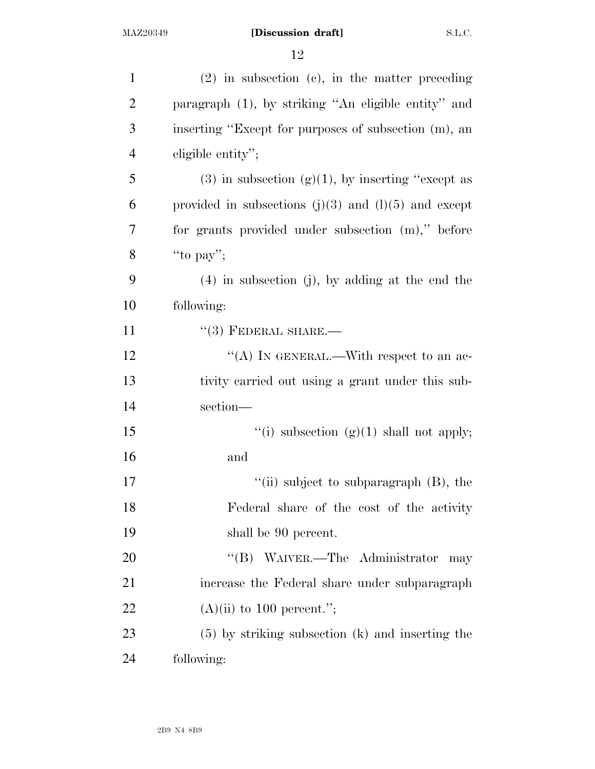| $\mathbf{1}$   | $(2)$ in subsection $(e)$ , in the matter preceding      |
|----------------|----------------------------------------------------------|
| $\overline{2}$ | paragraph (1), by striking "An eligible entity" and      |
| 3              | inserting "Except for purposes of subsection (m), an     |
| $\overline{4}$ | eligible entity";                                        |
| 5              | $(3)$ in subsection $(g)(1)$ , by inserting "except as   |
| 6              | provided in subsections $(j)(3)$ and $(l)(5)$ and except |
| 7              | for grants provided under subsection (m)," before        |
| 8              | "to pay";                                                |
| 9              | $(4)$ in subsection (j), by adding at the end the        |
| 10             | following:                                               |
| 11             | $``(3)$ FEDERAL SHARE.—                                  |
| 12             | "(A) IN GENERAL.—With respect to an ac-                  |
| 13             | tivity carried out using a grant under this sub-         |
| 14             | section-                                                 |
| 15             | "(i) subsection $(g)(1)$ shall not apply;                |
| 16             | and                                                      |
| 17             | "(ii) subject to subparagraph $(B)$ , the                |
| 18             | Federal share of the cost of the activity                |
| 19             | shall be 90 percent.                                     |
| 20             | "(B) WAIVER.—The Administrator<br>may                    |
| 21             | increase the Federal share under subparagraph            |
| 22             | $(A)(ii)$ to 100 percent.";                              |
| 23             | $(5)$ by striking subsection $(k)$ and inserting the     |
| 24             | following:                                               |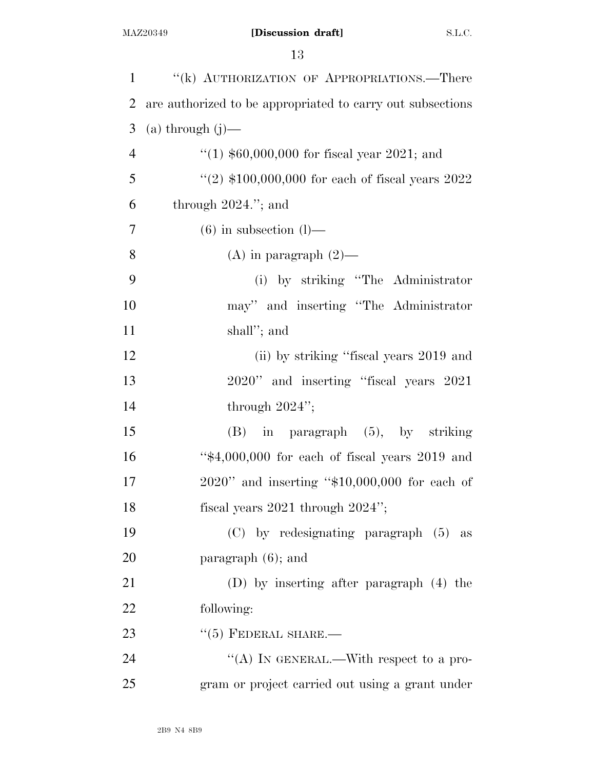| $\mathbf{1}$   | "(k) AUTHORIZATION OF APPROPRIATIONS.—There                |
|----------------|------------------------------------------------------------|
| $\overline{2}$ | are authorized to be appropriated to carry out subsections |
| 3              | $(a)$ through $(j)$ —                                      |
| $\overline{4}$ | "(1) $$60,000,000$ for fiscal year 2021; and               |
| 5              | "(2) $$100,000,000$ for each of fiscal years $2022$        |
| 6              | through $2024$ ."; and                                     |
| 7              | $(6)$ in subsection $(l)$ —                                |
| 8              | (A) in paragraph $(2)$ —                                   |
| 9              | (i) by striking "The Administrator"                        |
| 10             | may" and inserting "The Administrator                      |
| 11             | shall"; and                                                |
| 12             | (ii) by striking "fiscal years 2019 and                    |
| 13             | 2020" and inserting "fiscal years 2021                     |
| 14             | through $2024$ ";                                          |
| 15             | $(B)$ in paragraph $(5)$ , by striking                     |
| 16             | " $$4,000,000$ for each of fiscal years 2019 and           |
| 17             | 2020" and inserting "\$10,000,000 for each of              |
| 18             | fiscal years $2021$ through $2024$ ";                      |
| 19             | $(C)$ by redesignating paragraph $(5)$ as                  |
| 20             | paragraph $(6)$ ; and                                      |
| 21             | (D) by inserting after paragraph (4) the                   |
| 22             | following:                                                 |
| 23             | $``(5)$ FEDERAL SHARE.—                                    |
| 24             | "(A) IN GENERAL.—With respect to a pro-                    |
| 25             | gram or project carried out using a grant under            |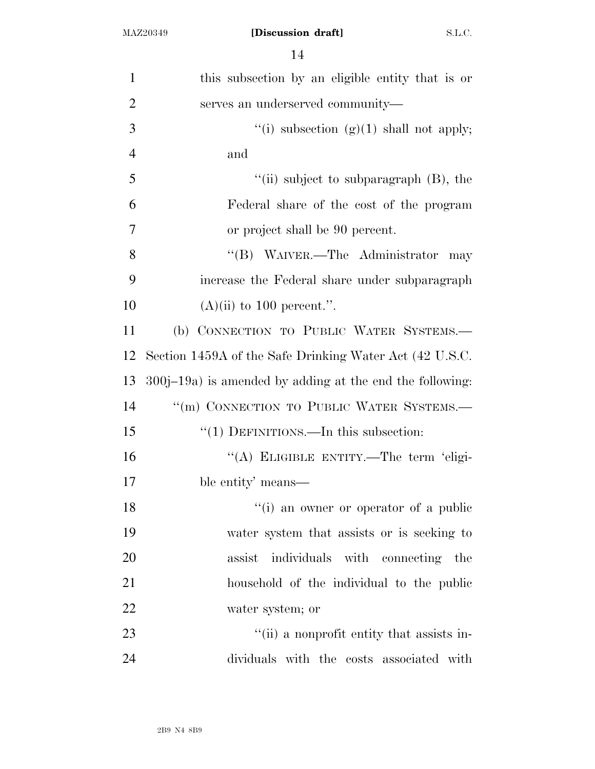| 1              | this subsection by an eligible entity that is or            |
|----------------|-------------------------------------------------------------|
| $\overline{2}$ | serves an underserved community—                            |
| 3              | "(i) subsection $(g)(1)$ shall not apply;                   |
| $\overline{4}$ | and                                                         |
| 5              | "(ii) subject to subparagraph (B), the                      |
| 6              | Federal share of the cost of the program                    |
| $\overline{7}$ | or project shall be 90 percent.                             |
| 8              | "(B) WAIVER.—The Administrator<br>may                       |
| 9              | increase the Federal share under subparagraph               |
| 10             | $(A)(ii)$ to 100 percent.".                                 |
| 11             | (b) CONNECTION TO PUBLIC WATER SYSTEMS.-                    |
| 12             | Section 1459A of the Safe Drinking Water Act (42 U.S.C.     |
| 13             | $300j-19a$ ) is amended by adding at the end the following: |
| 14             | "(m) CONNECTION TO PUBLIC WATER SYSTEMS.-                   |
| 15             | "(1) DEFINITIONS.—In this subsection:                       |
| 16             | "(A) ELIGIBLE ENTITY.—The term 'eligi-                      |
| 17             | ble entity' means—                                          |
| 18             | "(i) an owner or operator of a public                       |
| 19             | water system that assists or is seeking to                  |
| 20             | individuals with connecting the<br>assist                   |
| 21             | household of the individual to the public                   |
| 22             | water system; or                                            |
| 23             | "(ii) a nonprofit entity that assists in-                   |
| 24             | dividuals with the costs associated with                    |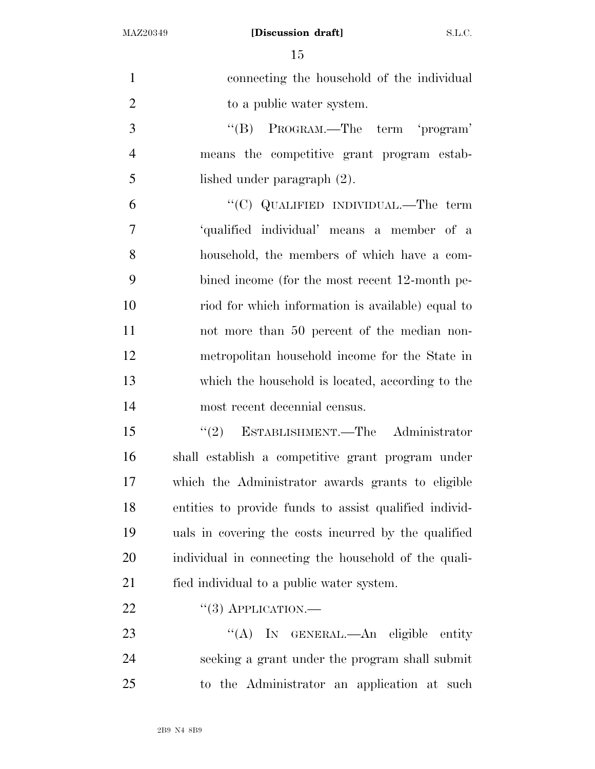| $\mathbf{1}$   | connecting the household of the individual             |
|----------------|--------------------------------------------------------|
| $\overline{2}$ | to a public water system.                              |
| 3              | "(B) PROGRAM.—The term 'program'                       |
| $\overline{4}$ | means the competitive grant program estab-             |
| 5              | lished under paragraph $(2)$ .                         |
| 6              | "(C) QUALIFIED INDIVIDUAL.—The term                    |
| $\overline{7}$ | 'qualified individual' means a member of a             |
| 8              | household, the members of which have a com-            |
| 9              | bined income (for the most recent 12-month pe-         |
| 10             | riod for which information is available) equal to      |
| 11             | not more than 50 percent of the median non-            |
| 12             | metropolitan household income for the State in         |
| 13             | which the household is located, according to the       |
| 14             | most recent decennial census.                          |
| 15             | $\cdot\cdot(2)$ ESTABLISHMENT.—The Administrator       |
| 16             | shall establish a competitive grant program under      |
| 17             | which the Administrator awards grants to eligible      |
| 18             | entities to provide funds to assist qualified individ- |
| 19             | uals in covering the costs incurred by the qualified   |
| 20             | individual in connecting the household of the quali-   |
| 21             | fied individual to a public water system.              |
| 22             | $``(3)$ APPLICATION.—                                  |
| 23             | "(A) IN GENERAL.—An eligible entity                    |
| 24             | seeking a grant under the program shall submit         |
| 25             | to the Administrator an application at such            |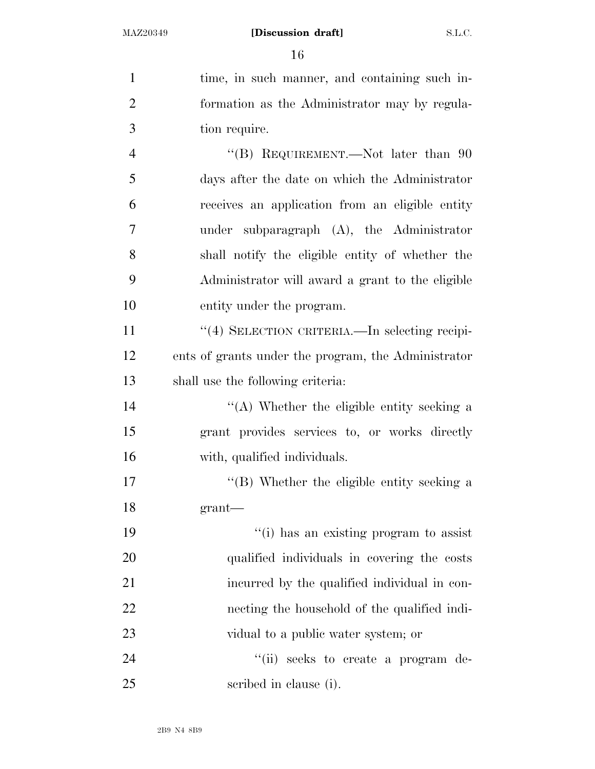| $\mathbf{1}$   | time, in such manner, and containing such in-       |
|----------------|-----------------------------------------------------|
| $\overline{2}$ | formation as the Administrator may by regula-       |
| 3              | tion require.                                       |
| $\overline{4}$ | "(B) REQUIREMENT.—Not later than $90$               |
| 5              | days after the date on which the Administrator      |
| 6              | receives an application from an eligible entity     |
| $\tau$         | under subparagraph $(A)$ , the Administrator        |
| 8              | shall notify the eligible entity of whether the     |
| 9              | Administrator will award a grant to the eligible    |
| 10             | entity under the program.                           |
| 11             | "(4) SELECTION CRITERIA.—In selecting recipi-       |
| 12             | ents of grants under the program, the Administrator |
| 13             | shall use the following criteria:                   |
| 14             | "(A) Whether the eligible entity seeking a          |
| 15             | grant provides services to, or works directly       |
| 16             | with, qualified individuals.                        |
| 17             | "(B) Whether the eligible entity seeking a          |
| 18             | $grant$ —                                           |
| 19             | "(i) has an existing program to assist              |
| 20             | qualified individuals in covering the costs         |
| 21             | incurred by the qualified individual in con-        |
| 22             | necting the household of the qualified indi-        |
| 23             | vidual to a public water system; or                 |
| 24             | "(ii) seeks to create a program de-                 |
| 25             | scribed in clause (i).                              |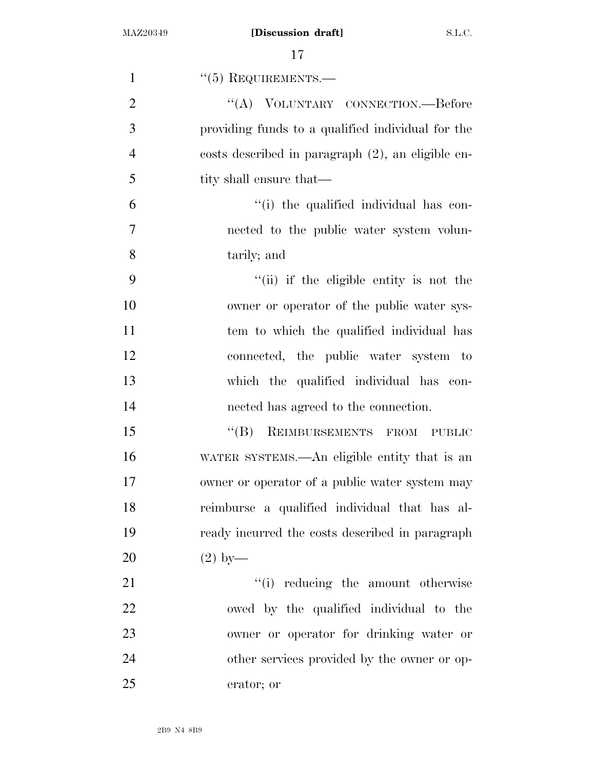| $\mathbf{1}$   | $``(5)$ REQUIREMENTS.—                            |
|----------------|---------------------------------------------------|
| $\overline{2}$ | "(A) VOLUNTARY CONNECTION.—Before                 |
| 3              | providing funds to a qualified individual for the |
| $\overline{4}$ | costs described in paragraph (2), an eligible en- |
| 5              | tity shall ensure that—                           |
| 6              | "(i) the qualified individual has con-            |
| 7              | nected to the public water system volun-          |
| 8              | tarily; and                                       |
| 9              | "(ii) if the eligible entity is not the           |
| 10             | owner or operator of the public water sys-        |
| 11             | tem to which the qualified individual has         |
| 12             | connected, the public water system to             |
| 13             | which the qualified individual has con-           |
| 14             | nected has agreed to the connection.              |
| 15             | "(B) REIMBURSEMENTS FROM PUBLIC                   |
| 16             | WATER SYSTEMS.—An eligible entity that is an      |
| 17             | owner or operator of a public water system may    |
| 18             | reimburse a qualified individual that has al-     |
| 19             | ready incurred the costs described in paragraph   |
| 20             | $(2)$ by—                                         |
| 21             | "(i) reducing the amount otherwise                |
| 22             | owed by the qualified individual to the           |
| 23             | owner or operator for drinking water or           |
| 24             | other services provided by the owner or op-       |
| 25             | erator; or                                        |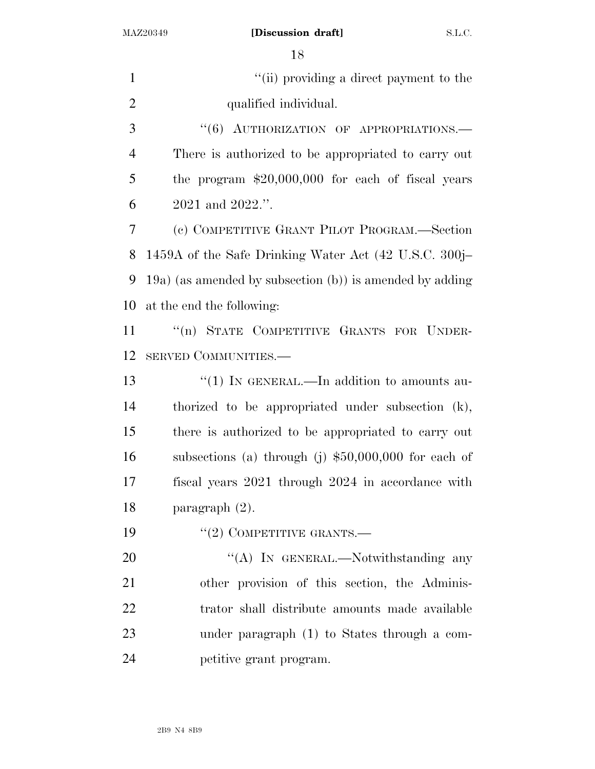1 ''(ii) providing a direct payment to the qualified individual.

3 "(6) AUTHORIZATION OF APPROPRIATIONS.— There is authorized to be appropriated to carry out the program \$20,000,000 for each of fiscal years 2021 and 2022.''.

 (c) COMPETITIVE GRANT PILOT PROGRAM.—Section 1459A of the Safe Drinking Water Act (42 U.S.C. 300j– 19a) (as amended by subsection (b)) is amended by adding at the end the following:

11 "(n) STATE COMPETITIVE GRANTS FOR UNDER-SERVED COMMUNITIES.—

13 "(1) IN GENERAL.—In addition to amounts au- thorized to be appropriated under subsection (k), there is authorized to be appropriated to carry out subsections (a) through (j) \$50,000,000 for each of fiscal years 2021 through 2024 in accordance with paragraph (2).

19  $((2)$  COMPETITIVE GRANTS.

20 "'(A) In GENERAL.—Notwithstanding any other provision of this section, the Adminis- trator shall distribute amounts made available under paragraph (1) to States through a com-petitive grant program.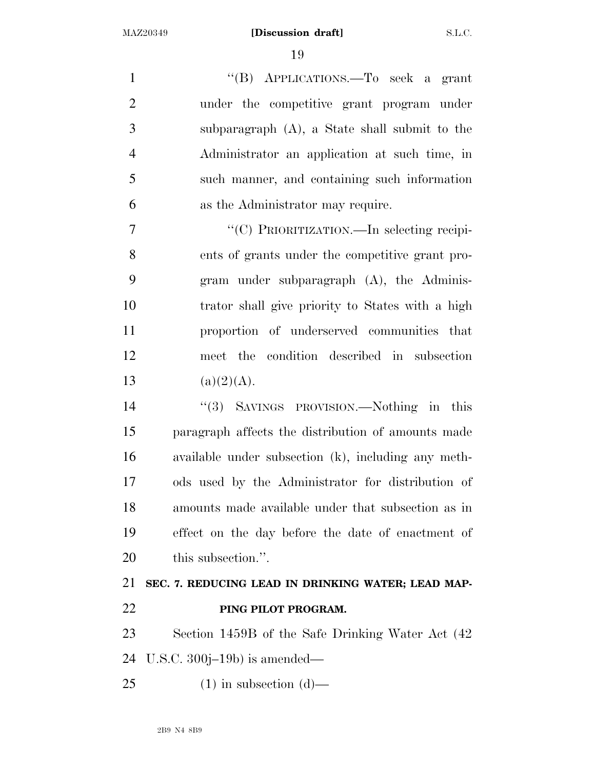''(B) APPLICATIONS.—To seek a grant under the competitive grant program under subparagraph (A), a State shall submit to the Administrator an application at such time, in such manner, and containing such information as the Administrator may require.  $''(C)$  PRIORITIZATION.—In selecting recipi- ents of grants under the competitive grant pro- gram under subparagraph (A), the Adminis- trator shall give priority to States with a high proportion of underserved communities that meet the condition described in subsection 13 (a)(2)(A).

 ''(3) SAVINGS PROVISION.—Nothing in this paragraph affects the distribution of amounts made available under subsection (k), including any meth- ods used by the Administrator for distribution of amounts made available under that subsection as in effect on the day before the date of enactment of this subsection.''.

## **SEC. 7. REDUCING LEAD IN DRINKING WATER; LEAD MAP-PING PILOT PROGRAM.**

 Section 1459B of the Safe Drinking Water Act (42 U.S.C. 300j–19b) is amended—

25 (1) in subsection  $(d)$ —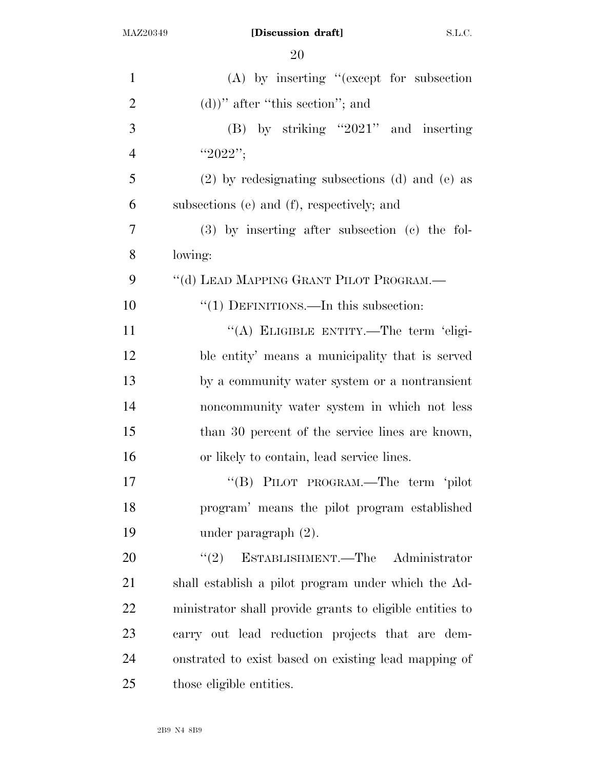| $\mathbf{1}$   | $(A)$ by inserting "(except for subsection               |
|----------------|----------------------------------------------------------|
| $\overline{2}$ | $(d)$ )" after "this section"; and                       |
| 3              | $(B)$ by striking "2021" and inserting                   |
| $\overline{4}$ | "2022";                                                  |
| 5              | $(2)$ by redesignating subsections (d) and (e) as        |
| 6              | subsections (e) and (f), respectively; and               |
| 7              | $(3)$ by inserting after subsection $(c)$ the fol-       |
| 8              | lowing:                                                  |
| 9              | "(d) LEAD MAPPING GRANT PILOT PROGRAM.—                  |
| 10             | "(1) DEFINITIONS.—In this subsection:                    |
| 11             | "(A) ELIGIBLE ENTITY.—The term 'eligi-                   |
| 12             | ble entity' means a municipality that is served          |
| 13             | by a community water system or a nontransient            |
| 14             | noncommunity water system in which not less              |
| 15             | than 30 percent of the service lines are known,          |
| 16             | or likely to contain, lead service lines.                |
| 17             | "(B) PILOT PROGRAM.—The term 'pilot                      |
| 18             | program' means the pilot program established             |
| 19             | under paragraph $(2)$ .                                  |
| 20             | ESTABLISHMENT.—The Administrator<br>(2)                  |
| 21             | shall establish a pilot program under which the Ad-      |
| 22             | ministrator shall provide grants to eligible entities to |
| 23             | carry out lead reduction projects that are dem-          |
| 24             | onstrated to exist based on existing lead mapping of     |
| 25             | those eligible entities.                                 |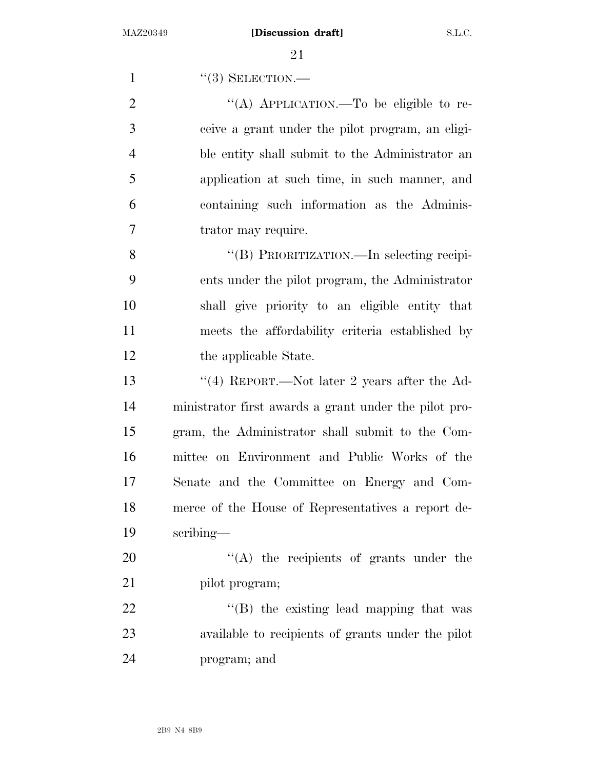1 ''(3) SELECTION.—  $\frac{1}{(A)}$  APPLICATION.—To be eligible to re- ceive a grant under the pilot program, an eligi- ble entity shall submit to the Administrator an application at such time, in such manner, and containing such information as the Adminis- trator may require. ''(B) PRIORITIZATION.—In selecting recipi- ents under the pilot program, the Administrator shall give priority to an eligible entity that meets the affordability criteria established by 12 the applicable State.

 ''(4) REPORT.—Not later 2 years after the Ad- ministrator first awards a grant under the pilot pro- gram, the Administrator shall submit to the Com- mittee on Environment and Public Works of the Senate and the Committee on Energy and Com- merce of the House of Representatives a report de-scribing—

20  $\langle (A)$  the recipients of grants under the 21 pilot program;

22 "'(B) the existing lead mapping that was available to recipients of grants under the pilot program; and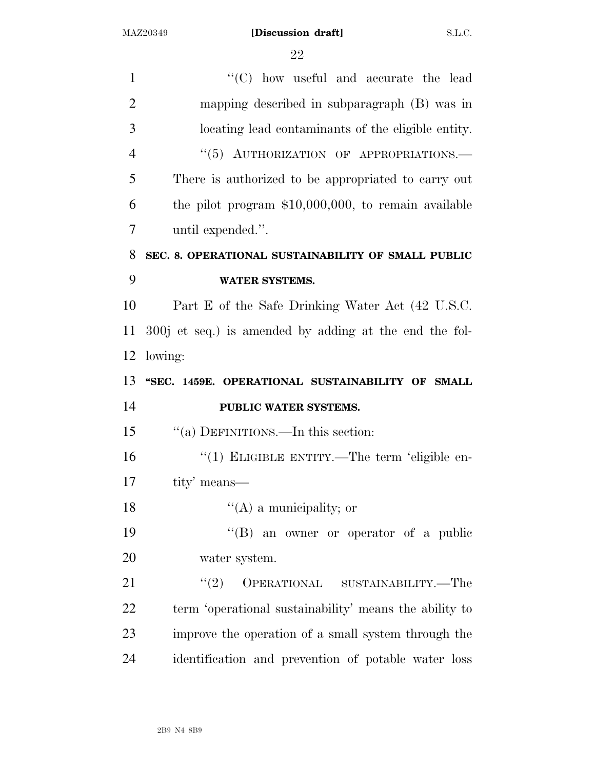| 1              | $\lq\lq$ (C) how useful and accurate the lead          |
|----------------|--------------------------------------------------------|
| $\overline{2}$ | mapping described in subparagraph (B) was in           |
| 3              | locating lead contaminants of the eligible entity.     |
| $\overline{4}$ | "(5) AUTHORIZATION OF APPROPRIATIONS.-                 |
| 5              | There is authorized to be appropriated to carry out    |
| 6              | the pilot program $$10,000,000$ , to remain available  |
| $\overline{7}$ | until expended.".                                      |
| 8              | SEC. 8. OPERATIONAL SUSTAINABILITY OF SMALL PUBLIC     |
| 9              | <b>WATER SYSTEMS.</b>                                  |
| 10             | Part E of the Safe Drinking Water Act (42 U.S.C.       |
| 11             | 300j et seq.) is amended by adding at the end the fol- |
| 12             | lowing:                                                |
|                |                                                        |
|                | "SEC. 1459E. OPERATIONAL SUSTAINABILITY OF SMALL       |
|                | PUBLIC WATER SYSTEMS.                                  |
| 13<br>14<br>15 | "(a) DEFINITIONS.—In this section:                     |
| 16             | "(1) ELIGIBLE ENTITY.—The term 'eligible en-           |
| 17             | tity' means—                                           |
| 18             | $\lq\lq$ (A) a municipality; or                        |
| 19             | $\lq\lq(B)$ an owner or operator of a public           |
| 20             | water system.                                          |
| 21             | OPERATIONAL SUSTAINABILITY.—The<br>(2)                 |
| 22             | term 'operational sustainability' means the ability to |
| 23             | improve the operation of a small system through the    |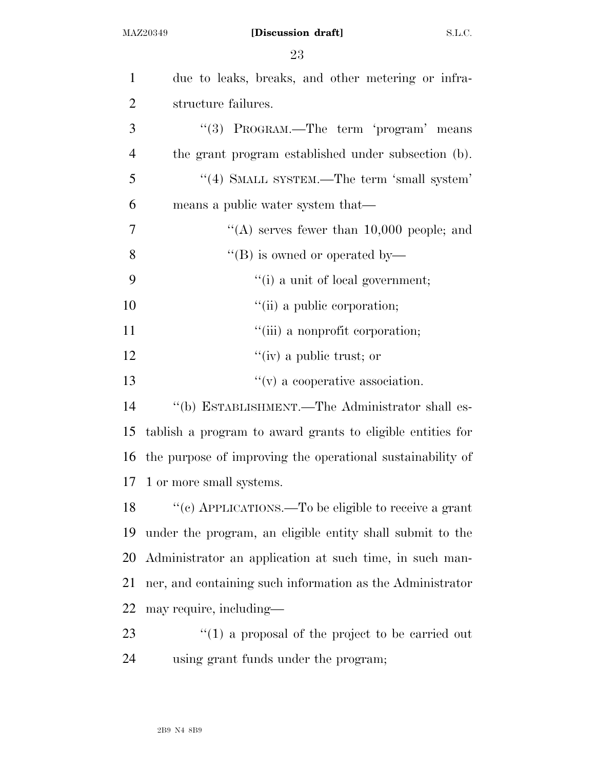| $\mathbf{1}$   | due to leaks, breaks, and other metering or infra-         |
|----------------|------------------------------------------------------------|
| $\overline{2}$ | structure failures.                                        |
| 3              | "(3) PROGRAM.—The term 'program' means                     |
| $\overline{4}$ | the grant program established under subsection (b).        |
| 5              | "(4) SMALL SYSTEM.—The term 'small system'                 |
| 6              | means a public water system that—                          |
| 7              | "(A) serves fewer than $10,000$ people; and                |
| 8              | "(B) is owned or operated by-                              |
| 9              | "(i) a unit of local government;                           |
| 10             | "(ii) a public corporation;                                |
| 11             | "(iii) a nonprofit corporation;                            |
| 12             | "(iv) a public trust; or                                   |
| 13             | $f'(v)$ a cooperative association.                         |
| 14             | "(b) ESTABLISHMENT.—The Administrator shall es-            |
| 15             | tablish a program to award grants to eligible entities for |
| 16             | the purpose of improving the operational sustainability of |
| 17             | 1 or more small systems.                                   |
| 18             | "(c) APPLICATIONS.—To be eligible to receive a grant       |
| 19             | under the program, an eligible entity shall submit to the  |
| 20             | Administrator an application at such time, in such man-    |
| 21             | ner, and containing such information as the Administrator  |
| 22             | may require, including—                                    |
| 23             | $\lq(1)$ a proposal of the project to be carried out       |
| 24             | using grant funds under the program;                       |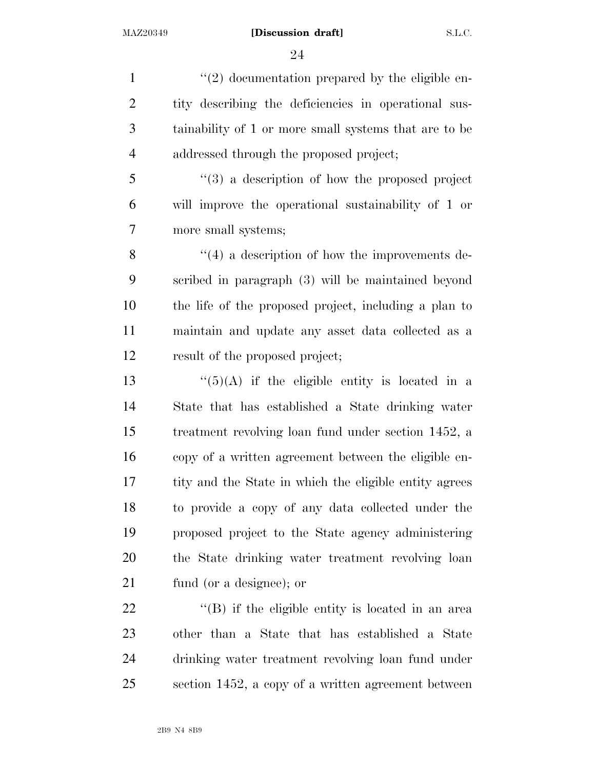1 ''(2) documentation prepared by the eligible en- tity describing the deficiencies in operational sus- tainability of 1 or more small systems that are to be addressed through the proposed project; ''(3) a description of how the proposed project will improve the operational sustainability of 1 or more small systems; 8 ''(4) a description of how the improvements de-scribed in paragraph (3) will be maintained beyond

 the life of the proposed project, including a plan to maintain and update any asset data collected as a result of the proposed project;

 $\frac{13}{15}$   $\frac{(5)}{4}$  if the eligible entity is located in a State that has established a State drinking water treatment revolving loan fund under section 1452, a copy of a written agreement between the eligible en- tity and the State in which the eligible entity agrees to provide a copy of any data collected under the proposed project to the State agency administering the State drinking water treatment revolving loan fund (or a designee); or

22 ''(B) if the eligible entity is located in an area other than a State that has established a State drinking water treatment revolving loan fund under section 1452, a copy of a written agreement between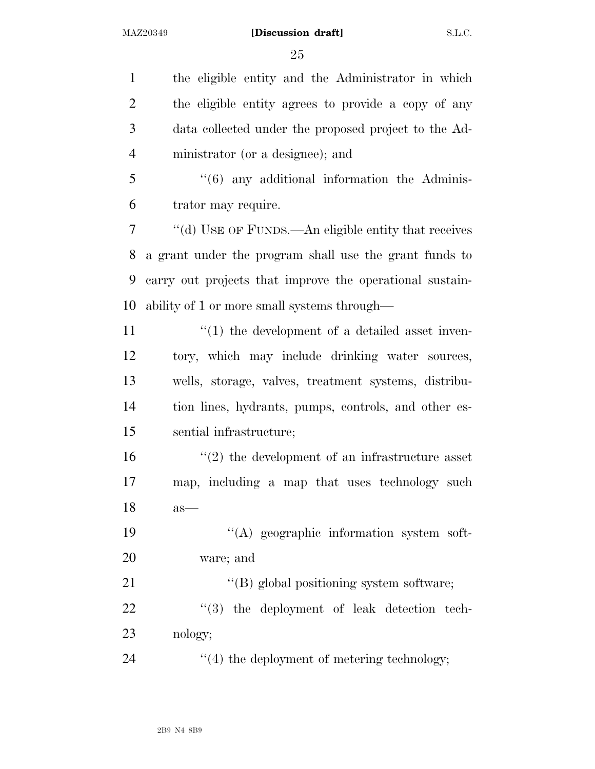the eligible entity and the Administrator in which the eligible entity agrees to provide a copy of any data collected under the proposed project to the Ad-ministrator (or a designee); and

 ''(6) any additional information the Adminis-trator may require.

 ''(d) USE OF FUNDS.—An eligible entity that receives a grant under the program shall use the grant funds to carry out projects that improve the operational sustain-ability of 1 or more small systems through—

 $\frac{1}{2}$  (1) the development of a detailed asset inven- tory, which may include drinking water sources, wells, storage, valves, treatment systems, distribu- tion lines, hydrants, pumps, controls, and other es-sential infrastructure;

 ''(2) the development of an infrastructure asset map, including a map that uses technology such as—

19  $\cdot$  (A) geographic information system soft-ware; and

21  $\langle (B) \rangle$  global positioning system software; 22  $\qquad$  ''(3) the deployment of leak detection tech-nology;

24  $\frac{1}{4}$  the deployment of metering technology;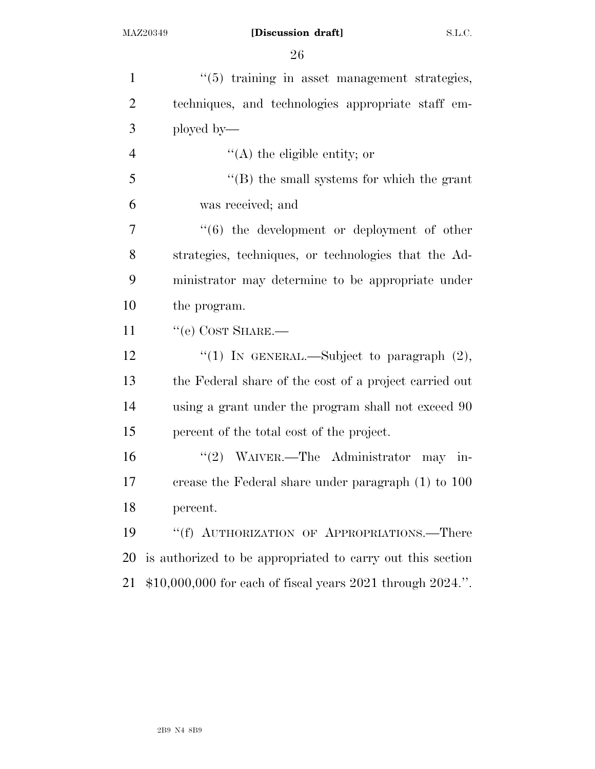| $\mathbf{1}$   | $\cdot\cdot$ (5) training in asset management strategies,   |
|----------------|-------------------------------------------------------------|
| $\overline{2}$ | techniques, and technologies appropriate staff em-          |
| 3              | ployed by—                                                  |
| $\overline{4}$ | $\lq\lq$ the eligible entity; or                            |
| 5              | $\lq\lq$ the small systems for which the grant              |
| 6              | was received; and                                           |
| 7              | "(6) the development or deployment of other                 |
| 8              | strategies, techniques, or technologies that the Ad-        |
| 9              | ministrator may determine to be appropriate under           |
| 10             | the program.                                                |
| 11             | $``$ (e) COST SHARE.—                                       |
| 12             | "(1) IN GENERAL.—Subject to paragraph $(2)$ ,               |
| 13             | the Federal share of the cost of a project carried out      |
| 14             | using a grant under the program shall not exceed 90         |
| 15             | percent of the total cost of the project.                   |
| 16             | "(2) WAIVER.—The Administrator may in-                      |
| 17             | crease the Federal share under paragraph (1) to 100         |
| 18             | percent.                                                    |
| 19             | "(f) AUTHORIZATION OF APPROPRIATIONS.—There                 |
| 20             | is authorized to be appropriated to carry out this section  |
| 21             | $$10,000,000$ for each of fiscal years 2021 through 2024.". |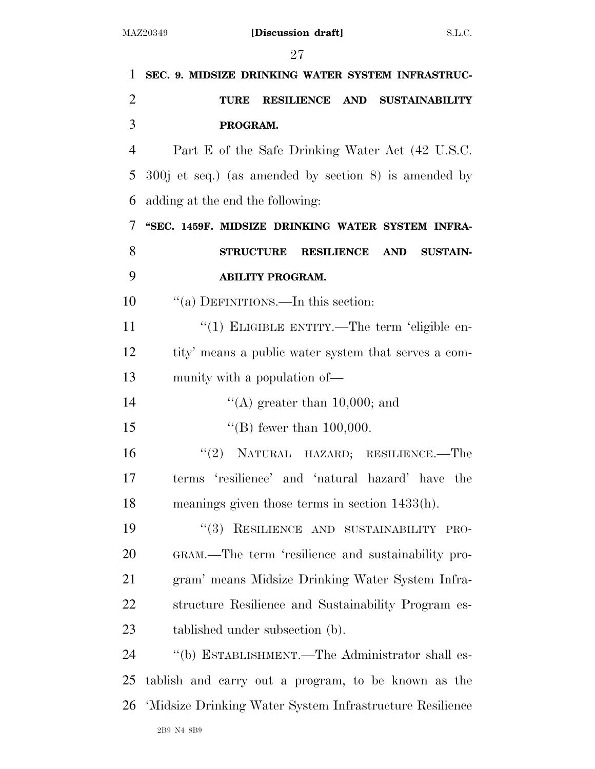| $\mathbf{1}$   | SEC. 9. MIDSIZE DRINKING WATER SYSTEM INFRASTRUC-        |
|----------------|----------------------------------------------------------|
| $\overline{2}$ | RESILIENCE AND SUSTAINABILITY<br><b>TURE</b>             |
| 3              | PROGRAM.                                                 |
| $\overline{4}$ | Part E of the Safe Drinking Water Act (42 U.S.C.         |
| 5              | $300j$ et seq.) (as amended by section 8) is amended by  |
| 6              | adding at the end the following:                         |
| 7              | "SEC. 1459F. MIDSIZE DRINKING WATER SYSTEM INFRA-        |
| 8              | <b>STRUCTURE</b><br>RESILIENCE AND SUSTAIN-              |
| 9              | <b>ABILITY PROGRAM.</b>                                  |
| 10             | "(a) DEFINITIONS.—In this section:                       |
| 11             | "(1) ELIGIBLE ENTITY.—The term 'eligible en-             |
| 12             | tity' means a public water system that serves a com-     |
| 13             | munity with a population of—                             |
| 14             | "(A) greater than 10,000; and                            |
| 15             | "(B) fewer than $100,000$ .                              |
| 16             | "(2) NATURAL HAZARD; RESILIENCE.—The                     |
| 17             | terms 'resilience' and 'natural hazard' have the         |
| 18             | meanings given those terms in section $1433(h)$ .        |
| 19             | "(3) RESILIENCE AND SUSTAINABILITY PRO-                  |
| 20             | GRAM.—The term 'resilience and sustainability pro-       |
| 21             | gram' means Midsize Drinking Water System Infra-         |
| 22             | structure Resilience and Sustainability Program es-      |
| 23             | tablished under subsection (b).                          |
| 24             | "(b) ESTABLISHMENT.—The Administrator shall es-          |
| 25             | tablish and carry out a program, to be known as the      |
| 26             | 'Midsize Drinking Water System Infrastructure Resilience |
|                | 2B9 N4 8B9                                               |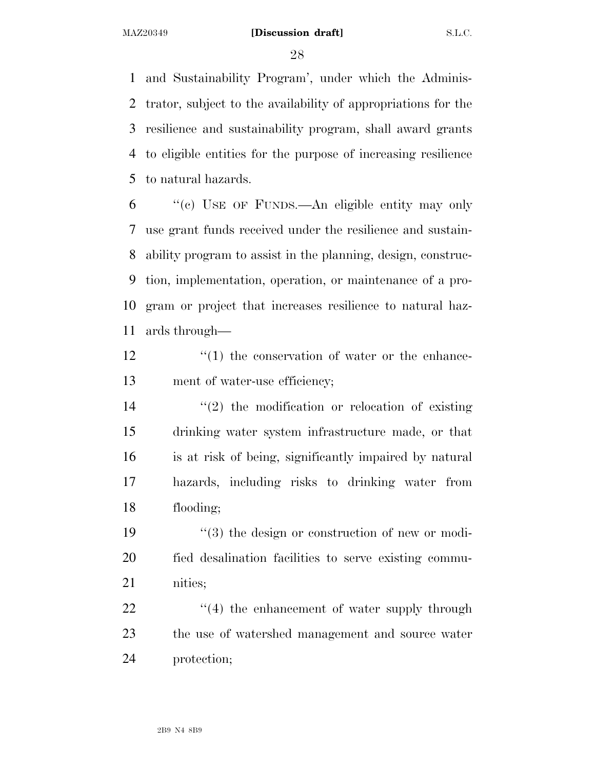and Sustainability Program', under which the Adminis- trator, subject to the availability of appropriations for the resilience and sustainability program, shall award grants to eligible entities for the purpose of increasing resilience to natural hazards.

 ''(c) USE OF FUNDS.—An eligible entity may only use grant funds received under the resilience and sustain- ability program to assist in the planning, design, construc- tion, implementation, operation, or maintenance of a pro- gram or project that increases resilience to natural haz-ards through—

12  $\langle (1)$  the conservation of water or the enhance-ment of water-use efficiency;

 $\frac{14}{2}$  <sup>''</sup>(2) the modification or relocation of existing drinking water system infrastructure made, or that is at risk of being, significantly impaired by natural hazards, including risks to drinking water from flooding;

19  $\frac{1}{3}$  the design or construction of new or modi- fied desalination facilities to serve existing commu-nities;

22  $\frac{1}{2}$   $\frac{1}{4}$  the enhancement of water supply through the use of watershed management and source water protection;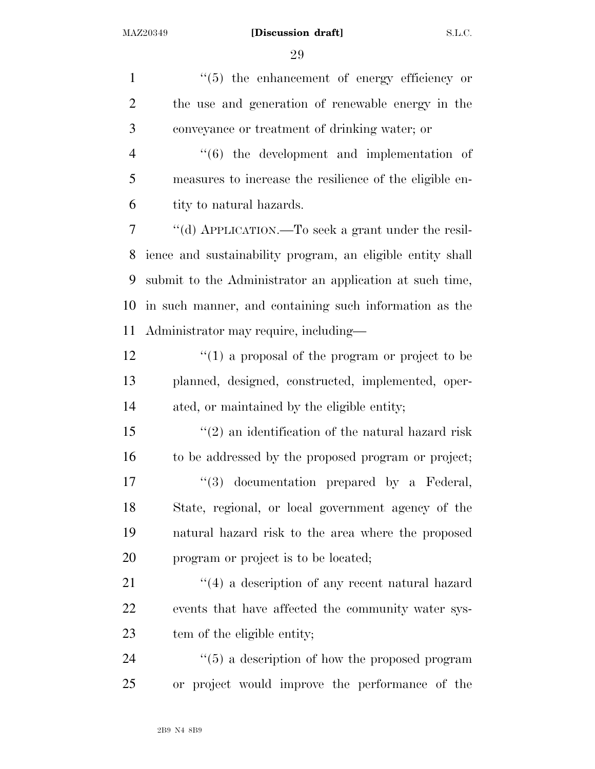$\frac{1}{5}$  the enhancement of energy efficiency or the use and generation of renewable energy in the conveyance or treatment of drinking water; or ''(6) the development and implementation of measures to increase the resilience of the eligible en- tity to natural hazards. ''(d) APPLICATION.—To seek a grant under the resil- ience and sustainability program, an eligible entity shall submit to the Administrator an application at such time, in such manner, and containing such information as the Administrator may require, including— 12 ''(1) a proposal of the program or project to be planned, designed, constructed, implemented, oper- ated, or maintained by the eligible entity; ''(2) an identification of the natural hazard risk to be addressed by the proposed program or project;  $\frac{17}{2}$   $\frac{17}{2}$  documentation prepared by a Federal, State, regional, or local government agency of the natural hazard risk to the area where the proposed program or project is to be located; 21 ''(4) a description of any recent natural hazard events that have affected the community water sys- tem of the eligible entity;  $\frac{1}{2}$  (5) a description of how the proposed program or project would improve the performance of the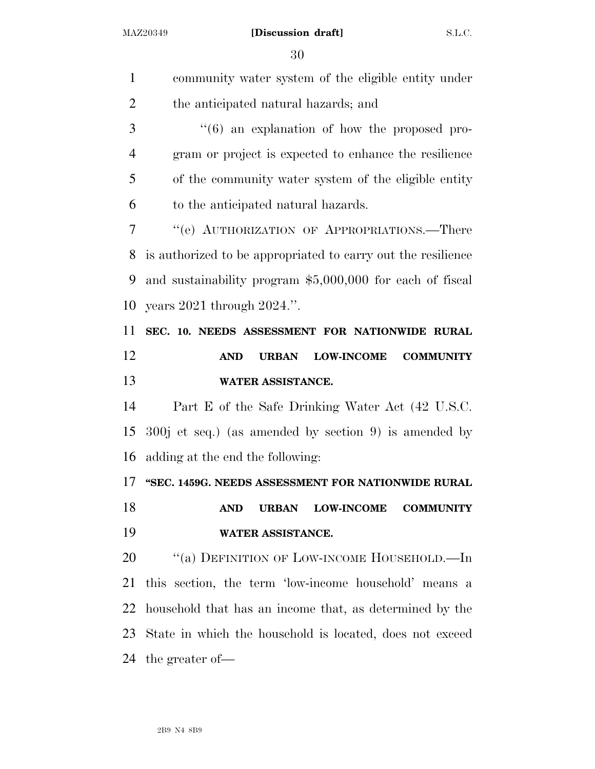| $\mathbf{1}$   | community water system of the eligible entity under                 |
|----------------|---------------------------------------------------------------------|
| $\overline{2}$ | the anticipated natural hazards; and                                |
| 3              | $\cdot\cdot\cdot$ (6) an explanation of how the proposed pro-       |
| $\overline{4}$ | gram or project is expected to enhance the resilience               |
| 5              | of the community water system of the eligible entity                |
| 6              | to the anticipated natural hazards.                                 |
| 7              | "(e) AUTHORIZATION OF APPROPRIATIONS.—There                         |
| 8              | is authorized to be appropriated to carry out the resilience        |
| 9              | and sustainability program \$5,000,000 for each of fiscal           |
| 10             | years $2021$ through $2024$ .".                                     |
| 11             | SEC. 10. NEEDS ASSESSMENT FOR NATIONWIDE RURAL                      |
| 12             | <b>AND</b><br><b>LOW-INCOME</b><br><b>COMMUNITY</b><br><b>URBAN</b> |
|                |                                                                     |
| 13             | WATER ASSISTANCE.                                                   |
| 14             | Part E of the Safe Drinking Water Act (42 U.S.C.                    |
| 15             | $300j$ et seq.) (as amended by section 9) is amended by             |
| 16             | adding at the end the following:                                    |
| 17             | "SEC. 1459G. NEEDS ASSESSMENT FOR NATIONWIDE RURAL                  |
| 18             | <b>AND</b><br><b>LOW-INCOME</b><br><b>URBAN</b><br><b>COMMUNITY</b> |
| 19             | WATER ASSISTANCE.                                                   |
| 20             | "(a) DEFINITION OF LOW-INCOME HOUSEHOLD.—In                         |
| 21             | this section, the term 'low-income household' means a               |
| 22             | household that has an income that, as determined by the             |
| 23             | State in which the household is located, does not exceed            |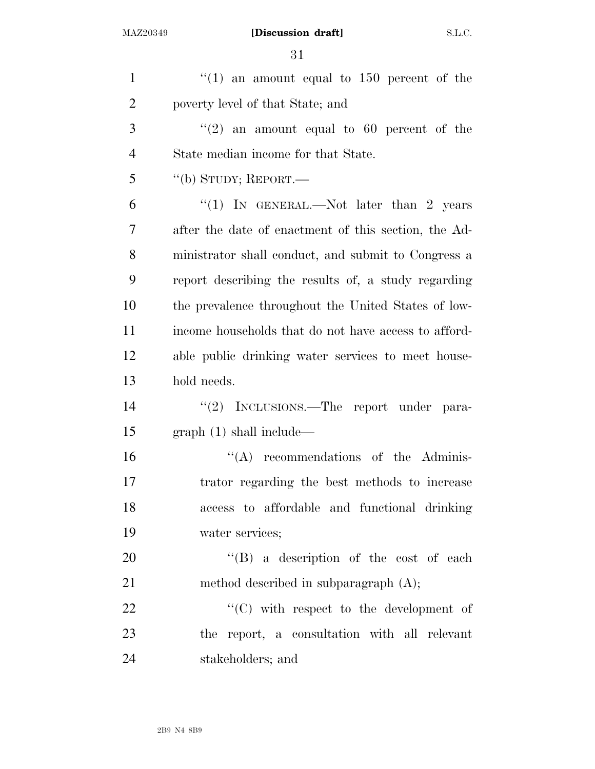| $\mathbf{1}$   | "(1) an amount equal to 150 percent of the           |
|----------------|------------------------------------------------------|
| $\overline{2}$ | poverty level of that State; and                     |
| 3              | $\lq(2)$ an amount equal to 60 percent of the        |
| $\overline{4}$ | State median income for that State.                  |
| 5              | "(b) STUDY; REPORT.—                                 |
| 6              | "(1) IN GENERAL.—Not later than 2 years              |
| 7              | after the date of enactment of this section, the Ad- |
| 8              | ministrator shall conduct, and submit to Congress a  |
| 9              | report describing the results of, a study regarding  |
| 10             | the prevalence throughout the United States of low-  |
| 11             | income households that do not have access to afford- |
| 12             | able public drinking water services to meet house-   |
| 13             | hold needs.                                          |
| 14             | "(2) INCLUSIONS.—The report under para-              |
| 15             | graph(1) shall include—                              |
| 16             | $\lq\lq$ recommendations of the Adminis-             |
| 17             | trator regarding the best methods to increase        |
| 18             | access to affordable and functional drinking         |
| 19             | water services;                                      |
| 20             | "(B) a description of the cost of each               |
| 21             | method described in subparagraph $(A)$ ;             |
| 22             | $\cdot$ (C) with respect to the development of       |
| 23             | the report, a consultation with all relevant         |
| 24             | stakeholders; and                                    |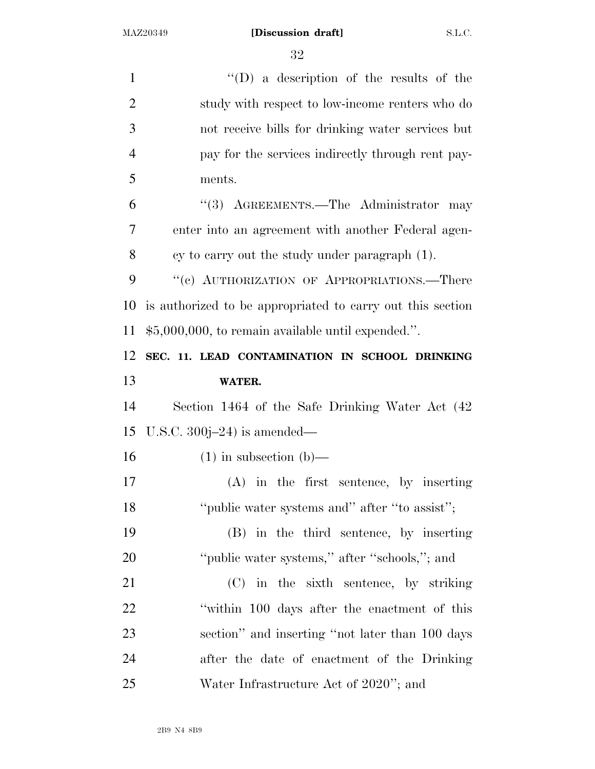| $\mathbf{1}$   | $\lq\lq$ (D) a description of the results of the           |
|----------------|------------------------------------------------------------|
| $\overline{2}$ | study with respect to low-income renters who do            |
| 3              | not receive bills for drinking water services but          |
| $\overline{4}$ | pay for the services indirectly through rent pay-          |
| 5              | ments.                                                     |
| 6              | "(3) AGREEMENTS.—The Administrator<br>may                  |
| 7              | enter into an agreement with another Federal agen-         |
| 8              | cy to carry out the study under paragraph (1).             |
| 9              | "(c) AUTHORIZATION OF APPROPRIATIONS.—There                |
| 10             | is authorized to be appropriated to carry out this section |
| 11             | $$5,000,000$ , to remain available until expended.".       |
| 12             | SEC. 11. LEAD CONTAMINATION IN SCHOOL DRINKING             |
| 13             | <b>WATER.</b>                                              |
| 14             | Section 1464 of the Safe Drinking Water Act (42)           |
| 15             | U.S.C. $300j-24$ ) is amended—                             |
| 16             | $(1)$ in subsection $(b)$ —                                |
| 17             | $(A)$ in the first sentence, by inserting                  |
| 18             | "public water systems and" after "to assist";              |
| 19             | (B) in the third sentence, by inserting                    |
| 20             | "public water systems," after "schools,"; and              |
| 21             | (C) in the sixth sentence, by striking                     |
| 22             | "within 100 days after the enactment of this               |
| 23             | section" and inserting "not later than 100 days            |
| 24             | after the date of enactment of the Drinking                |
| 25             | Water Infrastructure Act of 2020"; and                     |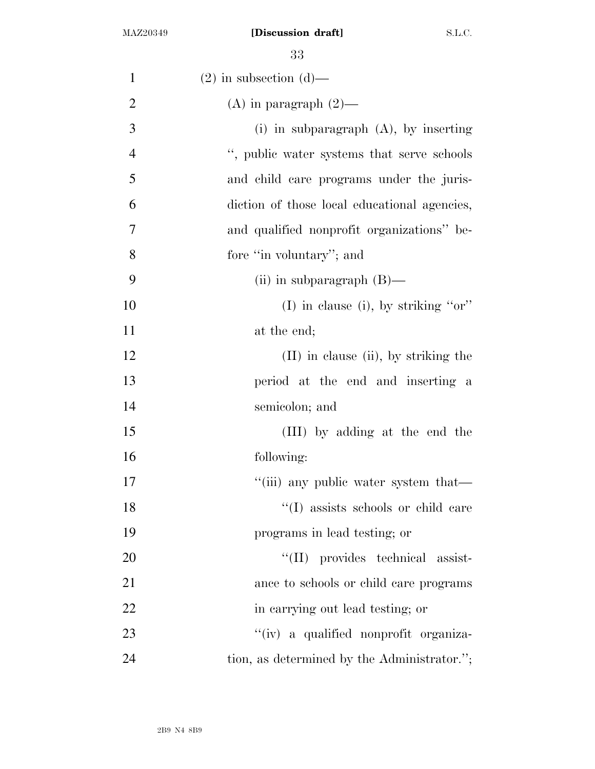| $\mathbf{1}$   | $(2)$ in subsection $(d)$ —                  |
|----------------|----------------------------------------------|
| $\overline{2}$ | $(A)$ in paragraph $(2)$ —                   |
| 3              | (i) in subparagraph $(A)$ , by inserting     |
| $\overline{4}$ | ", public water systems that serve schools   |
| 5              | and child care programs under the juris-     |
| 6              | diction of those local educational agencies, |
| 7              | and qualified nonprofit organizations" be-   |
| 8              | fore "in voluntary"; and                     |
| 9              | (ii) in subparagraph $(B)$ —                 |
| 10             | (I) in clause (i), by striking " $or$ "      |
| 11             | at the end;                                  |
| 12             | $(II)$ in clause $(ii)$ , by striking the    |
| 13             | period at the end and inserting a            |
| 14             | semicolon; and                               |
| 15             | (III) by adding at the end the               |
| 16             | following:                                   |
| 17             | "(iii) any public water system that—         |
| 18             | "(I) assists schools or child care           |
| 19             | programs in lead testing; or                 |
| 20             | "(II) provides technical assist-             |
| 21             | ance to schools or child care programs       |
| 22             | in carrying out lead testing; or             |
| 23             | "(iv) a qualified nonprofit organiza-        |
| 24             | tion, as determined by the Administrator.";  |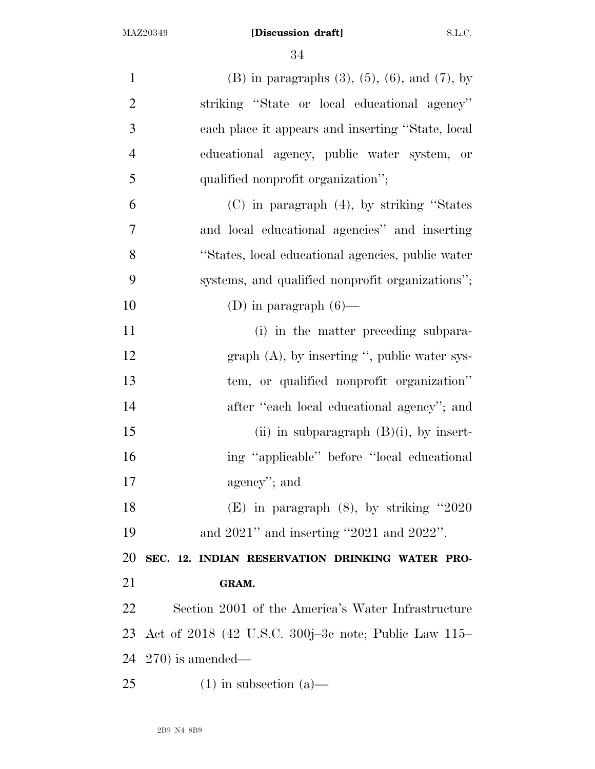| $\mathbf{1}$   | (B) in paragraphs $(3)$ , $(5)$ , $(6)$ , and $(7)$ , by |
|----------------|----------------------------------------------------------|
| $\overline{2}$ | striking "State or local educational agency"             |
| 3              | each place it appears and inserting "State, local        |
| $\overline{4}$ | educational agency, public water system, or              |
| 5              | qualified nonprofit organization";                       |
| 6              | $(C)$ in paragraph $(4)$ , by striking "States"          |
| $\overline{7}$ | and local educational agencies" and inserting            |
| 8              | "States, local educational agencies, public water        |
| 9              | systems, and qualified nonprofit organizations";         |
| 10             | (D) in paragraph $(6)$ —                                 |
| 11             | (i) in the matter preceding subpara-                     |
| 12             | graph $(A)$ , by inserting ", public water sys-          |
| 13             | tem, or qualified nonprofit organization"                |
| 14             | after "each local educational agency"; and               |
| 15             | (ii) in subparagraph $(B)(i)$ , by insert-               |
| 16             | ing "applicable" before "local educational               |
| 17             | agency"; and                                             |
| 18             | $(E)$ in paragraph $(8)$ , by striking "2020"            |
| 19             | and $2021$ " and inserting "2021 and $2022$ ".           |
| 20             | SEC. 12. INDIAN RESERVATION DRINKING WATER PRO-          |
| 21             | GRAM.                                                    |
| 22             | Section 2001 of the America's Water Infrastructure       |
| 23             | Act of 2018 (42 U.S.C. 300j-3c note; Public Law 115–     |
| 24             | $(270)$ is amended—                                      |
| 25             | $(1)$ in subsection $(a)$ —                              |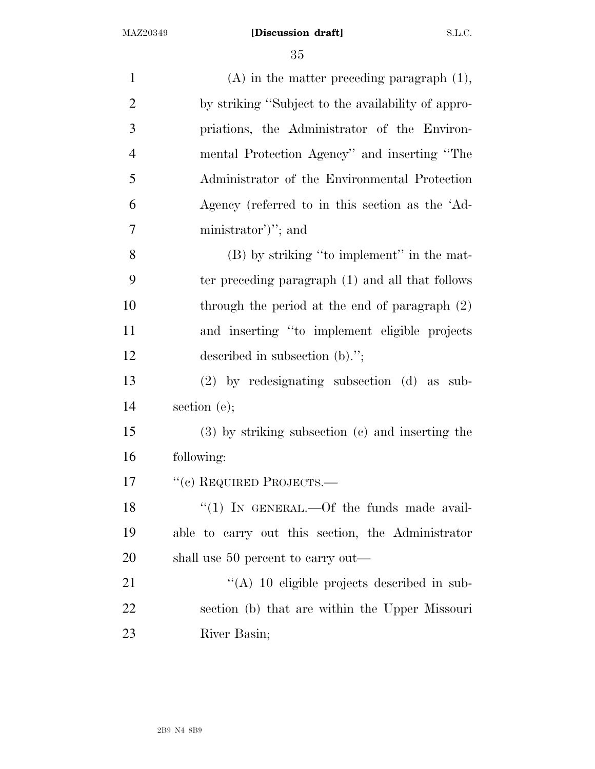| $\mathbf{1}$   | $(A)$ in the matter preceding paragraph $(1)$ ,      |
|----------------|------------------------------------------------------|
| $\overline{2}$ | by striking "Subject to the availability of appro-   |
| 3              | priations, the Administrator of the Environ-         |
| $\overline{4}$ | mental Protection Agency" and inserting "The         |
| 5              | Administrator of the Environmental Protection        |
| 6              | Agency (referred to in this section as the 'Ad-      |
| 7              | ministrator')''; and                                 |
| 8              | (B) by striking "to implement" in the mat-           |
| 9              | ter preceding paragraph (1) and all that follows     |
| 10             | through the period at the end of paragraph $(2)$     |
| 11             | and inserting "to implement eligible projects        |
| 12             | described in subsection $(b)$ .";                    |
| 13             | $(2)$ by redesignating subsection $(d)$ as sub-      |
| 14             | section $(e)$ ;                                      |
| 15             | $(3)$ by striking subsection $(c)$ and inserting the |
| 16             | following:                                           |
| 17             | "(c) REQUIRED PROJECTS.—                             |
| 18             | " $(1)$ IN GENERAL.—Of the funds made avail-         |
| 19             | able to carry out this section, the Administrator    |
| 20             | shall use 50 percent to carry out—                   |
| 21             | $\lq\lq$ (A) 10 eligible projects described in sub-  |
| 22             | section (b) that are within the Upper Missouri       |
| 23             | River Basin;                                         |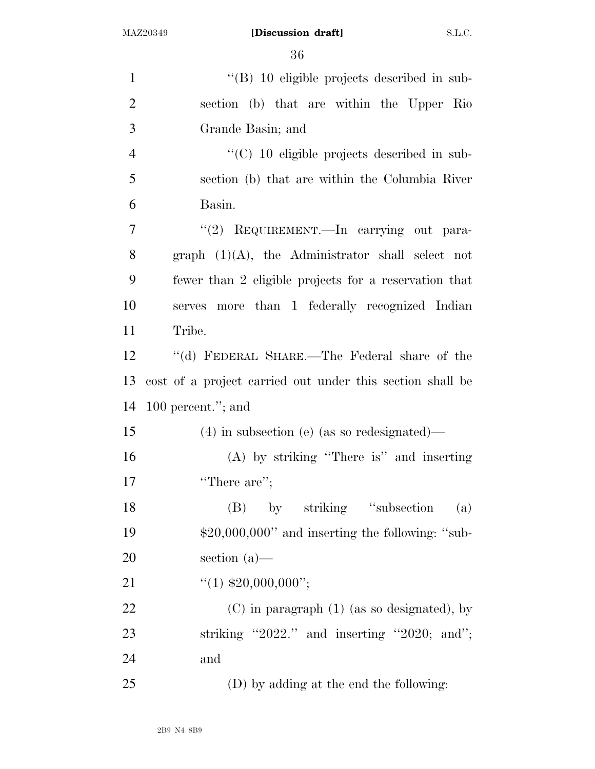| $\mathbf{1}$   | $\cdot$ (B) 10 eligible projects described in sub-        |
|----------------|-----------------------------------------------------------|
| $\overline{2}$ | section (b) that are within the Upper Rio                 |
| 3              | Grande Basin; and                                         |
| $\overline{4}$ | $\cdot\cdot$ (C) 10 eligible projects described in sub-   |
| 5              | section (b) that are within the Columbia River            |
| 6              | Basin.                                                    |
| 7              | "(2) REQUIREMENT. In carrying out para-                   |
| 8              | graph $(1)(A)$ , the Administrator shall select not       |
| 9              | fewer than 2 eligible projects for a reservation that     |
| 10             | serves more than 1 federally recognized Indian            |
| 11             | Tribe.                                                    |
| 12             | "(d) FEDERAL SHARE.—The Federal share of the              |
| 13             | cost of a project carried out under this section shall be |
| 14             | 100 percent."; and                                        |
| 15             | $(4)$ in subsection (e) (as so redesignated)—             |
| 16             | $(A)$ by striking "There is" and inserting                |
| 17             | "There are";                                              |
| 18             | (B) by striking "subsection"<br>(a)                       |
| 19             | $$20,000,000"$ and inserting the following: "sub-         |
| 20             | section $(a)$ —                                           |
| 21             | $``(1)$ \$20,000,000";                                    |
| 22             | $(C)$ in paragraph $(1)$ (as so designated), by           |
| 23             | striking "2022." and inserting "2020; and";               |
| 24             | and                                                       |
| 25             | (D) by adding at the end the following:                   |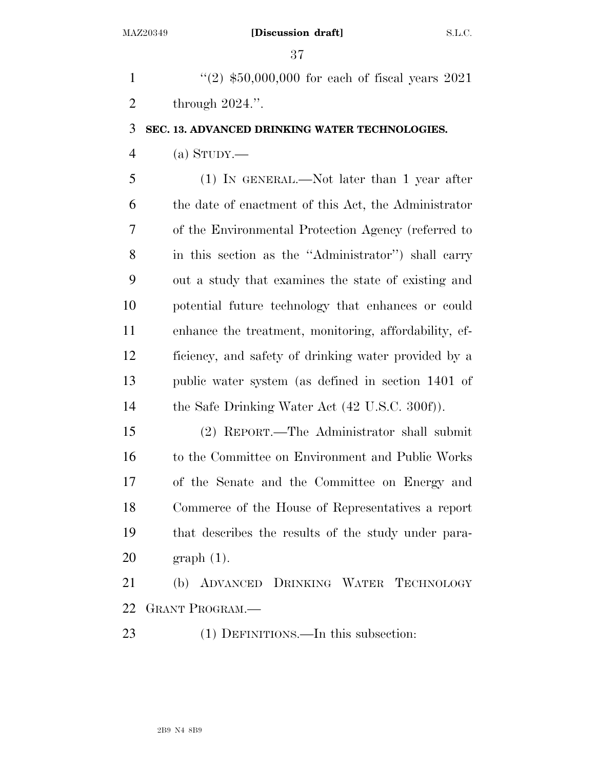1 ''(2)  $$50,000,000$  for each of fiscal years 2021 through 2024.''.

### **SEC. 13. ADVANCED DRINKING WATER TECHNOLOGIES.**

(a) STUDY.—

 (1) IN GENERAL.—Not later than 1 year after the date of enactment of this Act, the Administrator of the Environmental Protection Agency (referred to in this section as the ''Administrator'') shall carry out a study that examines the state of existing and potential future technology that enhances or could enhance the treatment, monitoring, affordability, ef- ficiency, and safety of drinking water provided by a public water system (as defined in section 1401 of 14 the Safe Drinking Water Act (42 U.S.C. 300f)).

 (2) REPORT.—The Administrator shall submit to the Committee on Environment and Public Works of the Senate and the Committee on Energy and Commerce of the House of Representatives a report that describes the results of the study under para-graph (1).

 (b) ADVANCED DRINKING WATER TECHNOLOGY GRANT PROGRAM.—

23 (1) DEFINITIONS.—In this subsection: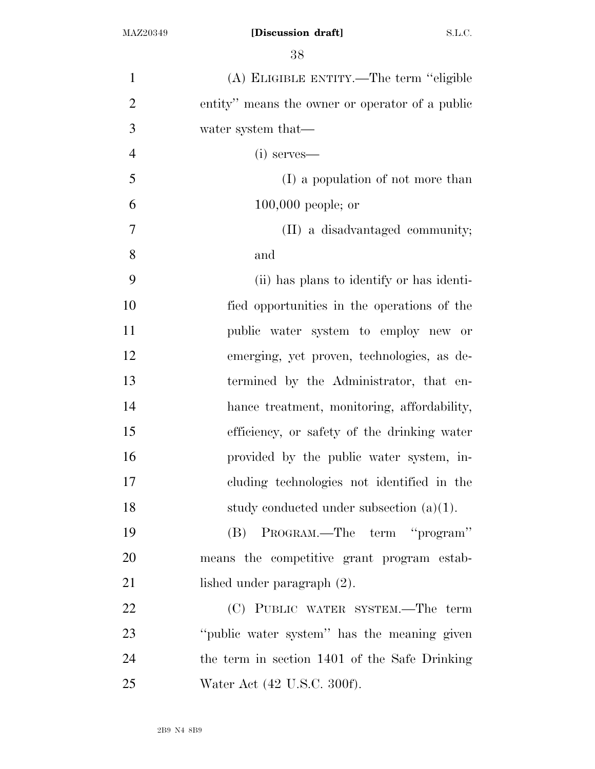| $\mathbf{1}$   | (A) ELIGIBLE ENTITY.—The term "eligible         |
|----------------|-------------------------------------------------|
| $\overline{2}$ | entity" means the owner or operator of a public |
| 3              | water system that—                              |
| $\overline{4}$ | $(i)$ serves—                                   |
| 5              | (I) a population of not more than               |
| 6              | $100,000$ people; or                            |
| 7              | (II) a disadvantaged community;                 |
| 8              | and                                             |
| 9              | (ii) has plans to identify or has identi-       |
| 10             | fied opportunities in the operations of the     |
| 11             | public water system to employ new or            |
| 12             | emerging, yet proven, technologies, as de-      |
| 13             | termined by the Administrator, that en-         |
| 14             | hance treatment, monitoring, affordability,     |
| 15             | efficiency, or safety of the drinking water     |
| 16             | provided by the public water system, in-        |
| 17             | cluding technologies not identified in the      |
| 18             | study conducted under subsection $(a)(1)$ .     |
| 19             | (B) PROGRAM.—The term "program"                 |
| 20             | means the competitive grant program estab-      |
| 21             | lished under paragraph (2).                     |
| 22             | (C) PUBLIC WATER SYSTEM.—The term               |
| 23             | "public water system" has the meaning given     |
| 24             | the term in section 1401 of the Safe Drinking   |
| 25             | Water Act (42 U.S.C. 300f).                     |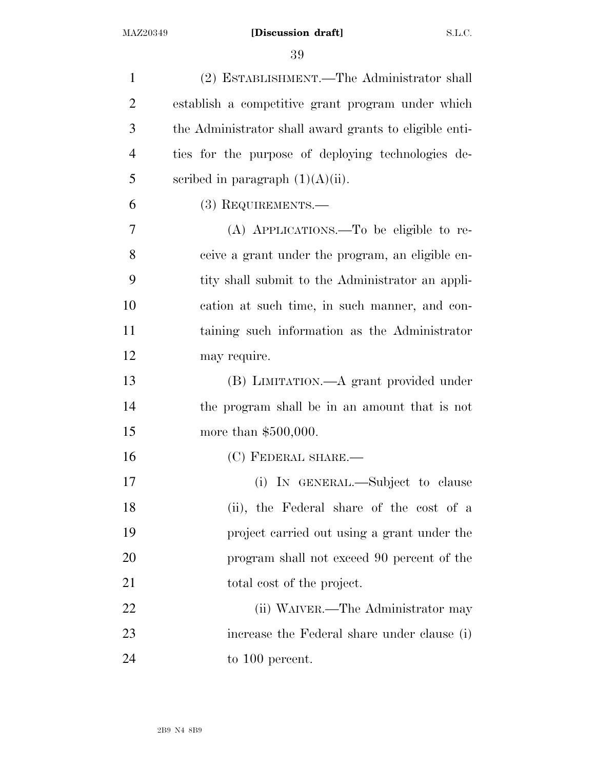(2) ESTABLISHMENT.—The Administrator shall establish a competitive grant program under which the Administrator shall award grants to eligible enti- ties for the purpose of deploying technologies de-5 scribed in paragraph  $(1)(A)(ii)$ . (3) REQUIREMENTS.— (A) APPLICATIONS.—To be eligible to re- ceive a grant under the program, an eligible en- tity shall submit to the Administrator an appli- cation at such time, in such manner, and con- taining such information as the Administrator may require. (B) LIMITATION.—A grant provided under the program shall be in an amount that is not 15 more than \$500,000. 16 (C) FEDERAL SHARE.— 17 (i) IN GENERAL.—Subject to clause (ii), the Federal share of the cost of a project carried out using a grant under the program shall not exceed 90 percent of the 21 total cost of the project. 22 (ii) WAIVER.—The Administrator may increase the Federal share under clause (i) 24 to 100 percent.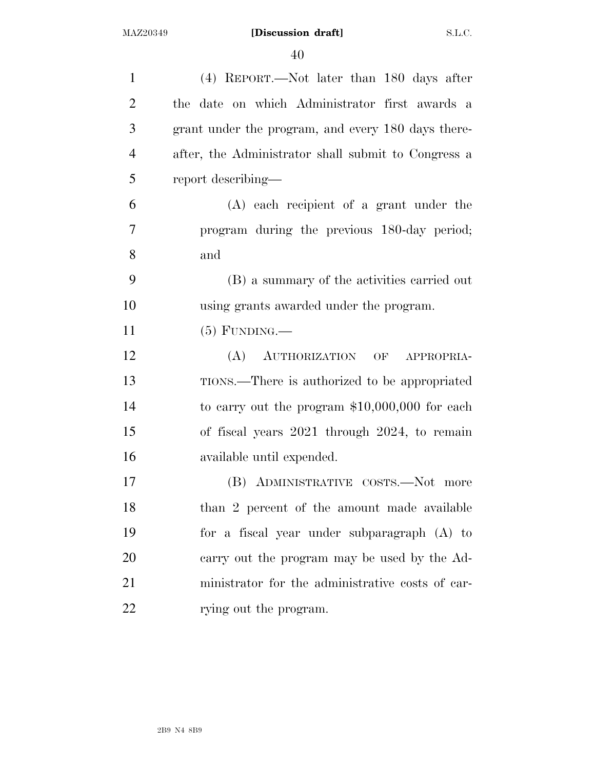| $\mathbf{1}$   | (4) REPORT.—Not later than 180 days after           |
|----------------|-----------------------------------------------------|
| $\overline{2}$ | the date on which Administrator first awards a      |
| 3              | grant under the program, and every 180 days there-  |
| $\overline{4}$ | after, the Administrator shall submit to Congress a |
| 5              | report describing—                                  |
| 6              | $(A)$ each recipient of a grant under the           |
| 7              | program during the previous 180-day period;         |
| 8              | and                                                 |
| 9              | (B) a summary of the activities carried out         |
| 10             | using grants awarded under the program.             |
| 11             | $(5)$ FUNDING.—                                     |
| 12             | (A)<br>AUTHORIZATION OF<br>APPROPRIA-               |
| 13             | TIONS.—There is authorized to be appropriated       |
| 14             | to carry out the program $$10,000,000$ for each     |
| 15             | of fiscal years 2021 through 2024, to remain        |
| 16             | available until expended.                           |
| 17             | ADMINISTRATIVE COSTS.-Not more<br>(B)               |
| 18             | than 2 percent of the amount made available         |
| 19             | for a fiscal year under subparagraph (A) to         |
| 20             | carry out the program may be used by the Ad-        |
| 21             | ministrator for the administrative costs of car-    |
| 22             | rying out the program.                              |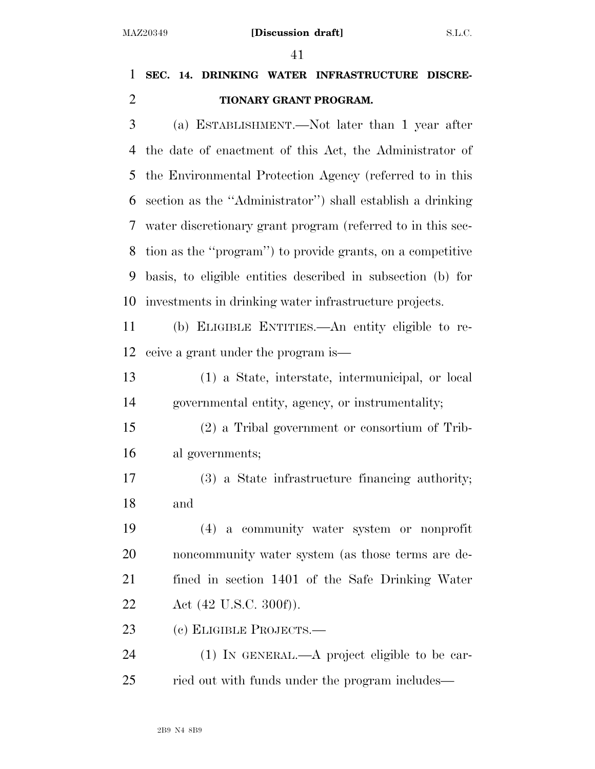## **SEC. 14. DRINKING WATER INFRASTRUCTURE DISCRE-TIONARY GRANT PROGRAM.**

 (a) ESTABLISHMENT.—Not later than 1 year after the date of enactment of this Act, the Administrator of the Environmental Protection Agency (referred to in this section as the ''Administrator'') shall establish a drinking water discretionary grant program (referred to in this sec- tion as the ''program'') to provide grants, on a competitive basis, to eligible entities described in subsection (b) for investments in drinking water infrastructure projects.

 (b) ELIGIBLE ENTITIES.—An entity eligible to re-ceive a grant under the program is—

 (1) a State, interstate, intermunicipal, or local governmental entity, agency, or instrumentality;

 (2) a Tribal government or consortium of Trib-al governments;

 (3) a State infrastructure financing authority; and

 (4) a community water system or nonprofit noncommunity water system (as those terms are de- fined in section 1401 of the Safe Drinking Water 22 Act (42 U.S.C. 300f)).

(c) ELIGIBLE PROJECTS.—

 (1) IN GENERAL.—A project eligible to be car-ried out with funds under the program includes—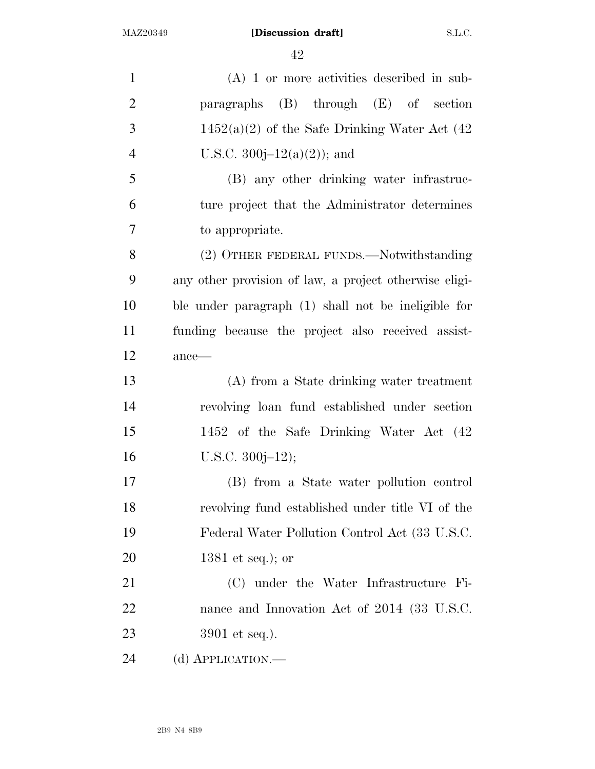| $\mathbf{1}$   | $(A)$ 1 or more activities described in sub-           |
|----------------|--------------------------------------------------------|
| $\overline{2}$ | paragraphs $(B)$ through $(E)$ of section              |
| 3              | $1452(a)(2)$ of the Safe Drinking Water Act (42)       |
| $\overline{4}$ | U.S.C. 300 $j-12(a)(2)$ ; and                          |
| 5              | (B) any other drinking water infrastruc-               |
| 6              | ture project that the Administrator determines         |
| $\overline{7}$ | to appropriate.                                        |
| 8              | (2) OTHER FEDERAL FUNDS.—Notwithstanding               |
| 9              | any other provision of law, a project otherwise eligi- |
| 10             | ble under paragraph (1) shall not be ineligible for    |
| 11             | funding because the project also received assist-      |
| 12             | ance-                                                  |
| 13             | (A) from a State drinking water treatment              |
| 14             | revolving loan fund established under section          |
| 15             | 1452 of the Safe Drinking Water Act (42)               |
| 16             | $U.S.C. 300j-12);$                                     |
| 17             | (B) from a State water pollution control               |
| 18             | revolving fund established under title VI of the       |
| 19             | Federal Water Pollution Control Act (33 U.S.C.         |
| 20             | 1381 et seq.); or                                      |
| 21             | (C) under the Water Infrastructure Fi-                 |
| 22             | nance and Innovation Act of 2014 (33 U.S.C.            |
| 23             | $3901$ et seq.).                                       |
| 24             | (d) APPLICATION.-                                      |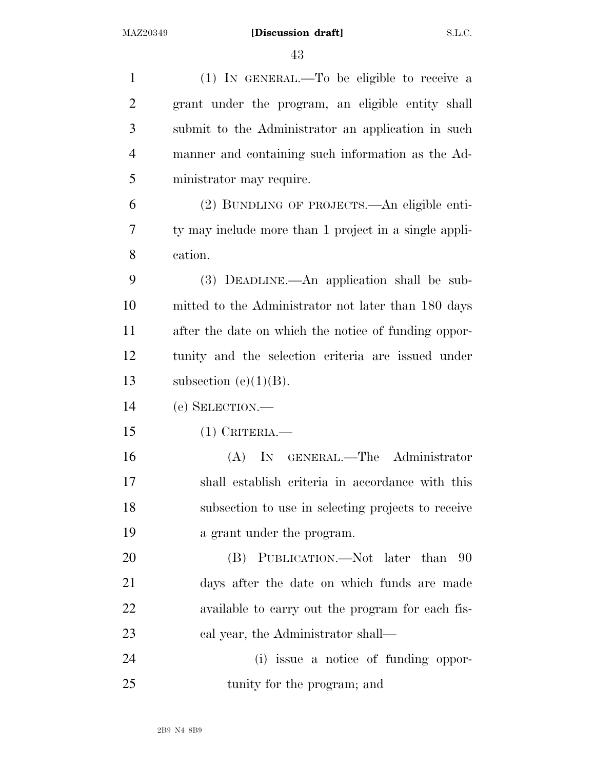| $\mathbf{1}$   | (1) IN GENERAL.—To be eligible to receive a           |
|----------------|-------------------------------------------------------|
| $\overline{2}$ | grant under the program, an eligible entity shall     |
| 3              | submit to the Administrator an application in such    |
|                |                                                       |
| $\overline{4}$ | manner and containing such information as the Ad-     |
| 5              | ministrator may require.                              |
| 6              | (2) BUNDLING OF PROJECTS.—An eligible enti-           |
| 7              | ty may include more than 1 project in a single appli- |
| 8              | cation.                                               |
| 9              | (3) DEADLINE.—An application shall be sub-            |
| 10             | mitted to the Administrator not later than 180 days   |
| 11             | after the date on which the notice of funding oppor-  |
| 12             | tunity and the selection criteria are issued under    |
| 13             | subsection (e) $(1)(B)$ .                             |
| 14             | (e) SELECTION.—                                       |
| 15             | $(1)$ CRITERIA.—                                      |
| 16             | (A) IN GENERAL.—The Administrator                     |
| 17             | shall establish criteria in accordance with this      |
| 18             | subsection to use in selecting projects to receive    |
| 19             | a grant under the program.                            |
| 20             | (B) PUBLICATION.—Not later than 90                    |
| 21             | days after the date on which funds are made           |
| 22             | available to carry out the program for each fis-      |
| 23             | cal year, the Administrator shall—                    |
| 24             | (i) issue a notice of funding oppor-                  |
| 25             | tunity for the program; and                           |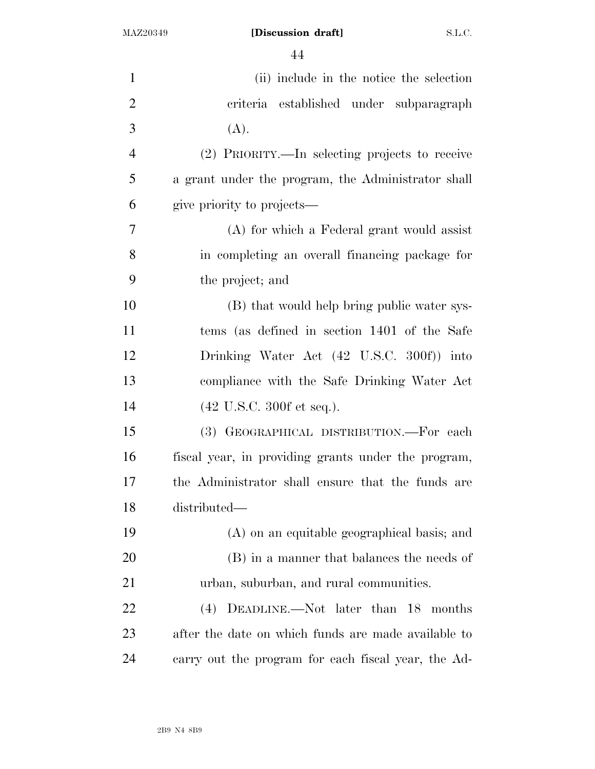| $\mathbf{1}$   | (ii) include in the notice the selection            |
|----------------|-----------------------------------------------------|
| $\overline{2}$ | criteria established under subparagraph             |
| 3              | (A).                                                |
| $\overline{4}$ | (2) PRIORITY.—In selecting projects to receive      |
| 5              | a grant under the program, the Administrator shall  |
| 6              | give priority to projects—                          |
| 7              | (A) for which a Federal grant would assist          |
| 8              | in completing an overall financing package for      |
| 9              | the project; and                                    |
| 10             | (B) that would help bring public water sys-         |
| 11             | tems (as defined in section 1401 of the Safe        |
| 12             | Drinking Water Act (42 U.S.C. 300f)) into           |
| 13             | compliance with the Safe Drinking Water Act         |
| 14             | $(42 \text{ U.S.C. } 300 \text{ f et seq.}).$       |
| 15             | (3) GEOGRAPHICAL DISTRIBUTION.-For each             |
| 16             | fiscal year, in providing grants under the program, |
| 17             | the Administrator shall ensure that the funds are   |
| 18             | distributed—                                        |
| 19             | (A) on an equitable geographical basis; and         |
| <b>20</b>      | (B) in a manner that balances the needs of          |
| 21             | urban, suburban, and rural communities.             |
| 22             | (4) DEADLINE.—Not later than 18 months              |
| 23             | after the date on which funds are made available to |
| 24             | carry out the program for each fiscal year, the Ad- |
|                |                                                     |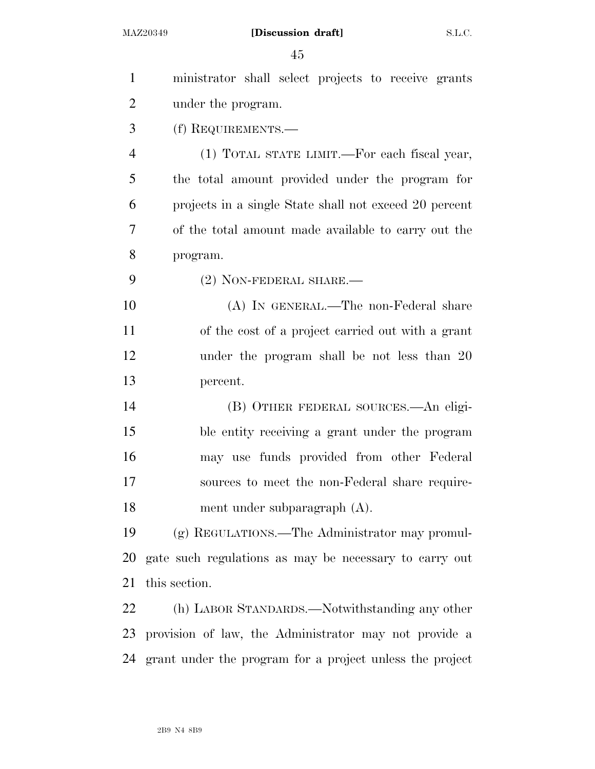| $\mathbf{1}$   | ministrator shall select projects to receive grants         |
|----------------|-------------------------------------------------------------|
| $\overline{2}$ | under the program.                                          |
| 3              | (f) REQUIREMENTS.—                                          |
| $\overline{4}$ | (1) TOTAL STATE LIMIT.—For each fiscal year,                |
| 5              | the total amount provided under the program for             |
| 6              | projects in a single State shall not exceed 20 percent      |
| 7              | of the total amount made available to carry out the         |
| 8              | program.                                                    |
| 9              | $(2)$ NON-FEDERAL SHARE.—                                   |
| 10             | (A) IN GENERAL.—The non-Federal share                       |
| 11             | of the cost of a project carried out with a grant           |
| 12             | under the program shall be not less than 20                 |
| 13             | percent.                                                    |
| 14             | (B) OTHER FEDERAL SOURCES.—An eligi-                        |
| 15             | ble entity receiving a grant under the program              |
| 16             | may use funds provided from other Federal                   |
| 17             | sources to meet the non-Federal share require-              |
| 18             | ment under subparagraph (A).                                |
| 19             | (g) REGULATIONS.—The Administrator may promul-              |
| 20             | gate such regulations as may be necessary to carry out      |
| 21             | this section.                                               |
| 22             | (h) LABOR STANDARDS.—Notwithstanding any other              |
| 23             | provision of law, the Administrator may not provide a       |
|                | 24 grant under the program for a project unless the project |